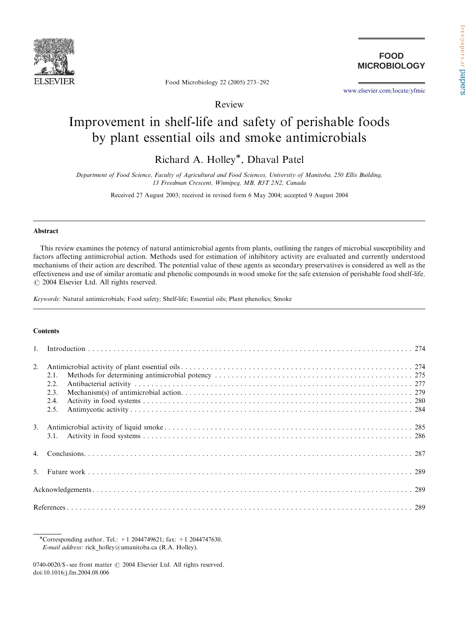

**FOOD MICROBIOLOGY**

<www.elsevier.com/locate/yfmic>

Food Microbiology 22 (2005) 273–292

Review

# Improvement in shelf-life and safety of perishable foods by plant essential oils and smoke antimicrobials

Richard A. Holley\*, Dhaval Patel

Department of Food Science, Faculty of Agricultural and Food Sciences, University of Manitoba, 250 Ellis Building, 13 Freedman Crescent, Winnipeg, MB, R3T 2N2, Canada

Received 27 August 2003; received in revised form 6 May 2004; accepted 9 August 2004

#### Abstract

This review examines the potency of natural antimicrobial agents from plants, outlining the ranges of microbial susceptibility and factors affecting antimicrobial action. Methods used for estimation of inhibitory activity are evaluated and currently understood mechanisms of their action are described. The potential value of these agents as secondary preservatives is considered as well as the effectiveness and use of similar aromatic and phenolic compounds in wood smoke for the safe extension of perishable food shelf-life.  $\odot$  2004 Elsevier Ltd. All rights reserved.

Keywords: Natural antimicrobials; Food safety; Shelf-life; Essential oils; Plant phenolics; Smoke

## **Contents**

| 2.1.<br>2.2.<br>2.3.<br>2.4.<br>2.5. |  |
|--------------------------------------|--|
|                                      |  |
|                                      |  |
|                                      |  |
|                                      |  |
|                                      |  |

\*Corresponding author. Tel.:  $+1$  2044749621; fax:  $+1$  2044747630. E-mail address: rick holley@umanitoba.ca (R.A. Holley).

 $0740-0020$ /\$ - see front matter  $\odot$  2004 Elsevier Ltd. All rights reserved. doi:10.1016/j.fm.2004.08.006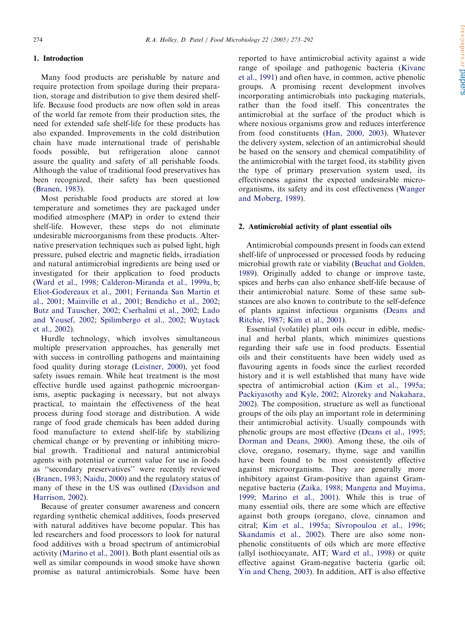## 1. Introduction

Many food products are perishable by nature and require protection from spoilage during their preparation, storage and distribution to give them desired shelflife. Because food products are now often sold in areas of the world far remote from their production sites, the need for extended safe shelf-life for these products has also expanded. Improvements in the cold distribution chain have made international trade of perishable foods possible, but refrigeration alone cannot assure the quality and safety of all perishable foods. Although the value of traditional food preservatives has been recognized, their safety has been questioned ([Branen, 1983\)](#page-16-0).

Most perishable food products are stored at low temperature and sometimes they are packaged under modified atmosphere (MAP) in order to extend their shelf-life. However, these steps do not eliminate undesirable microorganisms from these products. Alternative preservation techniques such as pulsed light, high pressure, pulsed electric and magnetic fields, irradiation and natural antimicrobial ingredients are being used or investigated for their application to food products ([Ward et al., 1998](#page-19-0); [Calderon-Miranda et al., 1999a, b;](#page-16-0) [Eliot-Godereaux et al., 2001](#page-17-0); [Fernanda San Martin et](#page-17-0) [al., 2001;](#page-17-0) [Mainville et al., 2001](#page-18-0); [Bendicho et al., 2002;](#page-16-0) [Butz and Tauscher, 2002](#page-16-0); [Cserhalmi et al., 2002;](#page-17-0) [Lado](#page-18-0) [and Yousef, 2002](#page-18-0); [Spilimbergo et al., 2002;](#page-19-0) [Wuytack](#page-19-0) [et al., 2002\)](#page-19-0).

Hurdle technology, which involves simultaneous multiple preservation approaches, has generally met with success in controlling pathogens and maintaining food quality during storage [\(Leistner, 2000](#page-18-0)), yet food safety issues remain. While heat treatment is the most effective hurdle used against pathogenic microorganisms, aseptic packaging is necessary, but not always practical, to maintain the effectiveness of the heat process during food storage and distribution. A wide range of food grade chemicals has been added during food manufacture to extend shelf-life by stabilizing chemical change or by preventing or inhibiting microbial growth. Traditional and natural antimicrobial agents with potential or current value for use in foods as ''secondary preservatives'' were recently reviewed ([Branen, 1983;](#page-16-0) [Naidu, 2000](#page-18-0)) and the regulatory status of many of these in the US was outlined [\(Davidson and](#page-17-0) [Harrison, 2002\)](#page-17-0).

Because of greater consumer awareness and concern regarding synthetic chemical additives, foods preserved with natural additives have become popular. This has led researchers and food processors to look for natural food additives with a broad spectrum of antimicrobial activity ([Marino et al., 2001\)](#page-18-0). Both plant essential oils as well as similar compounds in wood smoke have shown promise as natural antimicrobials. Some have been reported to have antimicrobial activity against a wide range of spoilage and pathogenic bacteria ([Kivanc](#page-18-0) [et al., 1991\)](#page-18-0) and often have, in common, active phenolic groups. A promising recent development involves incorporating antimicrobials into packaging materials, rather than the food itself. This concentrates the antimicrobial at the surface of the product which is where noxious organisms grow and reduces interference from food constituents [\(Han, 2000, 2003\)](#page-17-0). Whatever the delivery system, selection of an antimicrobial should be based on the sensory and chemical compatibility of the antimicrobial with the target food, its stability given the type of primary preservation system used, its effectiveness against the expected undesirable microorganisms, its safety and its cost effectiveness [\(Wanger](#page-19-0) [and Moberg, 1989\)](#page-19-0).

#### 2. Antimicrobial activity of plant essential oils

Antimicrobial compounds present in foods can extend shelf-life of unprocessed or processed foods by reducing microbial growth rate or viability ([Beuchat and Golden,](#page-16-0) [1989](#page-16-0)). Originally added to change or improve taste, spices and herbs can also enhance shelf-life because of their antimicrobial nature. Some of these same substances are also known to contribute to the self-defence of plants against infectious organisms [\(Deans and](#page-17-0) [Ritchie, 1987](#page-17-0); [Kim et al., 2001](#page-18-0)).

Essential (volatile) plant oils occur in edible, medicinal and herbal plants, which minimizes questions regarding their safe use in food products. Essential oils and their constituents have been widely used as flavouring agents in foods since the earliest recorded history and it is well established that many have wide spectra of antimicrobial action ([Kim et al., 1995a;](#page-18-0) [Packiyasothy and Kyle, 2002](#page-18-0); [Alzoreky and Nakahara,](#page-16-0) [2002](#page-16-0)). The composition, structure as well as functional groups of the oils play an important role in determining their antimicrobial activity. Usually compounds with phenolic groups are most effective ([Deans et al., 1995;](#page-17-0) [Dorman and Deans, 2000\)](#page-17-0). Among these, the oils of clove, oregano, rosemary, thyme, sage and vanillin have been found to be most consistently effective against microorganisms. They are generally more inhibitory against Gram-positive than against Gramnegative bacteria [\(Zaika, 1988](#page-19-0); [Mangena and Muyima,](#page-18-0) [1999](#page-18-0); [Marino et al., 2001\)](#page-18-0). While this is true of many essential oils, there are some which are effective against both groups (oregano, clove, cinnamon and citral; [Kim et al., 1995a](#page-18-0); [Sivropoulou et al., 1996;](#page-19-0) [Skandamis et al., 2002](#page-19-0)). There are also some nonphenolic constituents of oils which are more effective (allyl isothiocyanate, AIT; [Ward et al., 1998](#page-19-0)) or quite effective against Gram-negative bacteria (garlic oil; [Yin and Cheng, 2003](#page-19-0)). In addition, AIT is also effective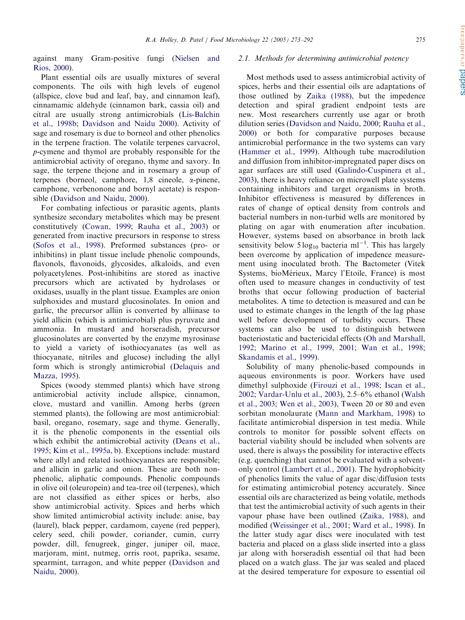Cole Cylas auto satis FREE

against many Gram-positive fungi ([Nielsen and](#page-18-0) [Rios, 2000](#page-18-0)).

Plant essential oils are usually mixtures of several components. The oils with high levels of eugenol (allspice, clove bud and leaf, bay, and cinnamon leaf), cinnamamic aldehyde (cinnamon bark, cassia oil) and citral are usually strong antimicrobials ([Lis-Balchin](#page-18-0) [et al., 1998b](#page-18-0); [Davidson and Naidu 2000](#page-17-0)). Activity of sage and rosemary is due to borneol and other phenolics in the terpene fraction. The volatile terpenes carvacrol, p-cymene and thymol are probably responsible for the antimicrobial activity of oregano, thyme and savory. In sage, the terpene thejone and in rosemary a group of terpenes (borneol, camphore, 1,8 cineole, a-pinene, camphone, verbenonone and bornyl acetate) is responsible [\(Davidson and Naidu, 2000](#page-17-0)).

For combating infectious or parasitic agents, plants synthesize secondary metabolites which may be present constitutively ([Cowan, 1999;](#page-16-0) [Rauha et al., 2003](#page-18-0)) or generated from inactive precursors in response to stress ([Sofos et al., 1998](#page-19-0)). Preformed substances (pro- or inhibitins) in plant tissue include phenolic compounds, flavonols, flavonoids, glycosides, alkaloids, and even polyacetylenes. Post-inhibitins are stored as inactive precursors which are activated by hydrolases or oxidases, usually in the plant tissue. Examples are onion sulphoxides and mustard glucosinolates. In onion and garlic, the precursor alliin is converted by alliinase to yield allicin (which is antimicrobial) plus pyruvate and ammonia. In mustard and horseradish, precursor glucosinolates are converted by the enzyme myrosinase to yield a variety of isothiocyanates (as well as thiocyanate, nitriles and glucose) including the allyl form which is strongly antimicrobial ([Delaquis and](#page-17-0) [Mazza, 1995](#page-17-0)).

Spices (woody stemmed plants) which have strong antimicrobial activity include allspice, cinnamon, clove, mustard and vanillin. Among herbs (green stemmed plants), the following are most antimicrobial: basil, oregano, rosemary, sage and thyme. Generally, it is the phenolic components in the essential oils which exhibit the antimicrobial activity ([Deans et al.,](#page-17-0) [1995](#page-17-0); [Kim et al., 1995a, b](#page-18-0)). Exceptions include: mustard where allyl and related isothiocyanates are responsible; and allicin in garlic and onion. These are both nonphenolic, aliphatic compounds. Phenolic compounds in olive oil (oleuropein) and tea-tree oil (terpenes), which are not classified as either spices or herbs, also show antimicrobial activity. Spices and herbs which show limited antimicrobial activity include: anise, bay (laurel), black pepper, cardamom, cayene (red pepper), celery seed, chili powder, coriander, cumin, curry powder, dill, fenugreek, ginger, juniper oil, mace, marjoram, mint, nutmeg, orris root, paprika, sesame, spearmint, tarragon, and white pepper [\(Davidson and](#page-17-0) [Naidu, 2000](#page-17-0)).

#### 2.1. Methods for determining antimicrobial potency

Most methods used to assess antimicrobial activity of spices, herbs and their essential oils are adaptations of those outlined by [Zaika \(1988\)](#page-19-0), but the impedence detection and spiral gradient endpoint tests are new. Most researchers currently use agar or broth dilution series [\(Davidson and Naidu, 2000;](#page-17-0) [Rauha et al.,](#page-18-0) [2000](#page-18-0)) or both for comparative purposes because antimicrobial performance in the two systems can vary ([Hammer et al., 1999](#page-17-0)). Although tube macrodilution and diffusion from inhibitor-impregnated paper discs on agar surfaces are still used ([Galindo-Cuspinera et al.,](#page-17-0) [2003](#page-17-0)), there is heavy reliance on microwell plate systems containing inhibitors and target organisms in broth. Inhibitor effectiveness is measured by differences in rates of change of optical density from controls and bacterial numbers in non-turbid wells are monitored by plating on agar with enumeration after incubation. However, systems based on absorbance in broth lack sensitivity below  $5 \log_{10}$  bacteria ml<sup>-1</sup>. This has largely been overcome by application of impedence measurement using inoculated broth. The Bactometer (Vitek Systems, bioMérieux, Marcy l'Etoile, France) is most often used to measure changes in conductivity of test broths that occur following production of bacterial metabolites. A time to detection is measured and can be used to estimate changes in the length of the lag phase well before development of turbidity occurs. These systems can also be used to distinguish between bacteriostatic and bactericidal effects ([Oh and Marshall,](#page-18-0) [1992](#page-18-0); [Marino et al., 1999, 2001](#page-18-0); [Wan et al., 1998;](#page-19-0) [Skandamis et al., 1999](#page-19-0)).

Solubility of many phenolic-based compounds in aqueous environments is poor. Workers have used dimethyl sulphoxide ([Firouzi et al., 1998;](#page-17-0) [Iscan et al.,](#page-17-0) [2002](#page-17-0); [Vardar-Unlu et al., 2003\)](#page-19-0), 2.5–6% ethanol ([Walsh](#page-19-0) [et al., 2003](#page-19-0); [Wen et al., 2003\)](#page-19-0), Tween 20 or 80 and even sorbitan monolaurate [\(Mann and Markham, 1998](#page-18-0)) to facilitate antimicrobial dispersion in test media. While controls to monitor for possible solvent effects on bacterial viability should be included when solvents are used, there is always the possibility for interactive effects (e.g. quenching) that cannot be evaluated with a solventonly control [\(Lambert et al., 2001\)](#page-18-0). The hydrophobicity of phenolics limits the value of agar disc/diffusion tests for estimating antimicrobial potency accurately. Since essential oils are characterized as being volatile, methods that test the antimicrobial activity of such agents in their vapour phase have been outlined ([Zaika, 1988](#page-19-0)), and modified [\(Weissinger et al., 2001;](#page-19-0) [Ward et al., 1998](#page-19-0)). In the latter study agar discs were inoculated with test bacteria and placed on a glass slide inserted into a glass jar along with horseradish essential oil that had been placed on a watch glass. The jar was sealed and placed at the desired temperature for exposure to essential oil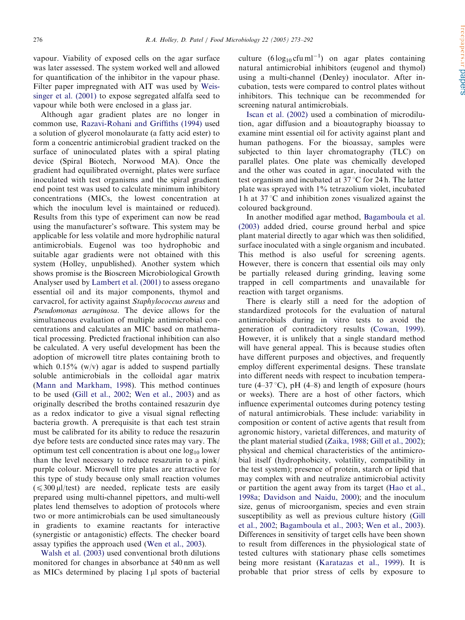vapour. Viability of exposed cells on the agar surface was later assessed. The system worked well and allowed for quantification of the inhibitor in the vapour phase. Filter paper impregnated with AIT was used by [Weis](#page-19-0)[singer et al. \(2001\)](#page-19-0) to expose segregated alfalfa seed to vapour while both were enclosed in a glass jar.

Although agar gradient plates are no longer in common use, [Razavi-Rohani and Griffiths \(1994\)](#page-18-0) used a solution of glycerol monolaurate (a fatty acid ester) to form a concentric antimicrobial gradient tracked on the surface of uninoculated plates with a spiral plating device (Spiral Biotech, Norwood MA). Once the gradient had equilibrated overnight, plates were surface inoculated with test organisms and the spiral gradient end point test was used to calculate minimum inhibitory concentrations (MICs, the lowest concentration at which the inoculum level is maintained or reduced). Results from this type of experiment can now be read using the manufacturer's software. This system may be applicable for less volatile and more hydrophilic natural antimicrobials. Eugenol was too hydrophobic and suitable agar gradients were not obtained with this system (Holley, unpublished). Another system which shows promise is the Bioscreen Microbiological Growth Analyser used by [Lambert et al. \(2001\)](#page-18-0) to assess oregano essential oil and its major components, thymol and carvacrol, for activity against *Staphylococcus aureus* and Pseudomonas aeruginosa. The device allows for the simultaneous evaluation of multiple antimicrobial concentrations and calculates an MIC based on mathematical processing. Predicted fractional inhibition can also be calculated. A very useful development has been the adoption of microwell titre plates containing broth to which  $0.15\%$  (w/v) agar is added to suspend partially soluble antimicrobials in the colloidal agar matrix ([Mann and Markham, 1998\)](#page-18-0). This method continues to be used [\(Gill et al., 2002;](#page-17-0) [Wen et al., 2003](#page-19-0)) and as originally described the broths contained resazurin dye as a redox indicator to give a visual signal reflecting bacteria growth. A prerequisite is that each test strain must be calibrated for its ability to reduce the resazurin dye before tests are conducted since rates may vary. The optimum test cell concentration is about one  $log_{10}$  lower than the level necessary to reduce resazurin to a pink/ purple colour. Microwell titre plates are attractive for this type of study because only small reaction volumes  $(\leq 300 \,\mu$ l/test) are needed, replicate tests are easily prepared using multi-channel pipettors, and multi-well plates lend themselves to adoption of protocols where two or more antimicrobials can be used simultaneously in gradients to examine reactants for interactive (synergistic or antagonistic) effects. The checker board assay typifies the approach used [\(Wen et al., 2003\)](#page-19-0).

[Walsh et al. \(2003\)](#page-19-0) used conventional broth dilutions monitored for changes in absorbance at 540 nm as well as MICs determined by placing  $1 \mu l$  spots of bacterial

culture  $(6 \log_{10} \text{c} \text{f} \text{u} \text{m} \text{l}^{-1})$  on agar plates containing natural antimicrobial inhibitors (eugenol and thymol) using a multi-channel (Denley) inoculator. After incubation, tests were compared to control plates without inhibitors. This technique can be recommended for screening natural antimicrobials.

[Iscan et al. \(2002\)](#page-17-0) used a combination of microdilution, agar diffusion and a bioautography bioassay to examine mint essential oil for activity against plant and human pathogens. For the bioassay, samples were subjected to thin layer chromatography (TLC) on parallel plates. One plate was chemically developed and the other was coated in agar, inoculated with the test organism and incubated at  $37^{\circ}$ C for 24 h. The latter plate was sprayed with 1% tetrazolium violet, incubated 1 h at  $37^{\circ}$ C and inhibition zones visualized against the coloured background.

In another modified agar method, [Bagamboula et al.](#page-16-0) [\(2003\)](#page-16-0) added dried, course ground herbal and spice plant material directly to agar which was then solidified, surface inoculated with a single organism and incubated. This method is also useful for screening agents. However, there is concern that essential oils may only be partially released during grinding, leaving some trapped in cell compartments and unavailable for reaction with target organisms.

There is clearly still a need for the adoption of standardized protocols for the evaluation of natural antimicrobials during in vitro tests to avoid the generation of contradictory results [\(Cowan, 1999\)](#page-16-0). However, it is unlikely that a single standard method will have general appeal. This is because studies often have different purposes and objectives, and frequently employ different experimental designs. These translate into different needs with respect to incubation temperature (4–37 °C), pH (4–8) and length of exposure (hours or weeks). There are a host of other factors, which influence experimental outcomes during potency testing of natural antimicrobials. These include: variability in composition or content of active agents that result from agronomic history, varietal differences, and maturity of the plant material studied [\(Zaika, 1988](#page-19-0); [Gill et al., 2002\)](#page-17-0); physical and chemical characteristics of the antimicrobial itself (hydrophobicity, volatility, compatibility in the test system); presence of protein, starch or lipid that may complex with and neutralize antimicrobial activity or partition the agent away from its target [\(Hao et al.,](#page-17-0) [1998a](#page-17-0); [Davidson and Naidu, 2000\)](#page-17-0); and the inoculum size, genus of microorganism, species and even strain susceptibility as well as previous culture history [\(Gill](#page-17-0) [et al., 2002;](#page-17-0) [Bagamboula et al., 2003;](#page-16-0) [Wen et al., 2003\)](#page-19-0). Differences in sensitivity of target cells have been shown to result from differences in the physiological state of tested cultures with stationary phase cells sometimes being more resistant ([Karatazas et al., 1999](#page-17-0)). It is probable that prior stress of cells by exposure to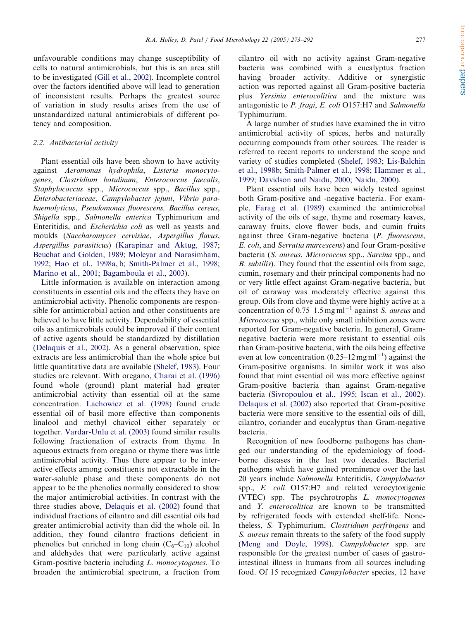unfavourable conditions may change susceptibility of cells to natural antimicrobials, but this is an area still to be investigated [\(Gill et al., 2002\)](#page-17-0). Incomplete control over the factors identified above will lead to generation ofinconsistent results. Perhaps the greatest source of variation in study results arises from the use of unstandardized natural antimicrobials of different potency and composition.

# 2.2. Antibacterial activity

Plant essential oils have been shown to have activity against Aeromonas hydrophila, Listeria monocytogenes, Clostridium botulinum, Enterococcus faecalis, Staphylococcus spp., Micrococcus spp., Bacillus spp., Enterobacteriaceae, Campylobacter jejuni, Vibrio parahaemolyticus, Pseudomonas fluorescens, Bacillus cereus, Shigella spp., Salmonella enterica Typhimurium and Enteritidis, and Escherichia coli as well as yeasts and moulds (Saccharomyces cervisiae, Aspergillus flavus, Aspergillus parasiticus) [\(Karapinar and Aktug, 1987;](#page-17-0) [Beuchat and Golden, 1989](#page-16-0); [Moleyar and Narasimham,](#page-18-0) [1992](#page-18-0); [Hao et al., 1998a, b](#page-17-0); [Smith-Palmer et al., 1998;](#page-19-0) [Marino et al., 2001;](#page-18-0) [Bagamboula et al., 2003\)](#page-16-0).

Little information is available on interaction among constituents in essential oils and the effects they have on antimicrobial activity. Phenolic components are responsible for antimicrobial action and other constituents are believed to have little activity. Dependability of essential oils as antimicrobials could be improved if their content ofactive agents should be standardized by distillation ([Delaquis et al., 2002\)](#page-17-0). As a general observation, spice extracts are less antimicrobial than the whole spice but little quantitative data are available [\(Shelef, 1983](#page-19-0)). Four studies are relevant. With oregano, [Charai et al. \(1996\)](#page-16-0) found whole (ground) plant material had greater antimicrobial activity than essential oil at the same concentration. [Lachowicz et al. \(1998\)](#page-18-0) found crude essential oil of basil more effective than components linalool and methyl chavicol either separately or together. [Vardar-Unlu et al. \(2003\)](#page-19-0) found similar results following fractionation of extracts from thyme. In aqueous extracts from oregano or thyme there was little antimicrobial activity. Thus there appear to be interactive effects among constituents not extractable in the water-soluble phase and these components do not appear to be the phenolics normally considered to show the major antimicrobial activities. In contrast with the three studies above, [Delaquis et al. \(2002\)](#page-17-0) found that individual fractions of cilantro and dill essential oils had greater antimicrobial activity than did the whole oil. In addition, they found cilantro fractions deficient in phenolics but enriched in long chain  $(C_6-C_{10})$  alcohol and aldehydes that were particularly active against Gram-positive bacteria including L. monocytogenes. To broaden the antimicrobial spectrum, a fraction from cilantro oil with no activity against Gram-negative bacteria was combined with a eucalyptus fraction having broader activity. Additive or synergistic action was reported against all Gram-positive bacteria plus Yersinia enterocolitica and the mixture was antagonistic to P. fragi, E. coli O157:H7 and Salmonella Typhimurium.

A large number of studies have examined the in vitro antimicrobial activity of spices, herbs and naturally occurring compounds from other sources. The reader is referred to recent reports to understand the scope and variety of studies completed [\(Shelef, 1983;](#page-19-0) [Lis-Balchin](#page-18-0) [et al., 1998b](#page-18-0); [Smith-Palmer et al., 1998;](#page-19-0) [Hammer et al.,](#page-17-0) [1999](#page-17-0); [Davidson and Naidu, 2000](#page-17-0); [Naidu, 2000](#page-18-0)).

Plant essential oils have been widely tested against both Gram-positive and -negative bacteria. For example, [Farag et al. \(1989\)](#page-17-0) examined the antimicrobial activity of the oils of sage, thyme and rosemary leaves, caraway fruits, clove flower buds, and cumin fruits against three Gram-negative bacteria (P. fluorescens, E. coli, and Serratia marcescens) and four Gram-positive bacteria (S. aureus, Micrococcus spp., Sarcina spp., and B. *subtilis*). They found that the essential oils from sage, cumin, rosemary and their principal components had no or very little effect against Gram-negative bacteria, but oil of caraway was moderately effective against this group. Oils from clove and thyme were highly active at a concentration of 0.75–1.5 mg ml<sup>-1</sup> against *S. aureus* and Micrococcus spp., while only small inhibition zones were reported for Gram-negative bacteria. In general, Gramnegative bacteria were more resistant to essential oils than Gram-positive bacteria, with the oils being effective even at low concentration  $(0.25-12 \text{ mg ml}^{-1})$  against the Gram-positive organisms. In similar work it was also found that mint essential oil was more effective against Gram-positive bacteria than against Gram-negative bacteria [\(Sivropoulou et al., 1995;](#page-19-0) [Iscan et al., 2002\)](#page-17-0). [Delaquis et al. \(2002\)](#page-17-0) also reported that Gram-positive bacteria were more sensitive to the essential oils of dill. cilantro, coriander and eucalyptus than Gram-negative bacteria.

Recognition of new foodborne pathogens has changed our understanding of the epidemiology of foodborne diseases in the last two decades. Bacterial pathogens which have gained prominence over the last 20 years include Salmonella Enteritidis, Campylobacter spp., E. coli O157:H7 and related verocytoxigenic (VTEC) spp. The psychrotrophs L. monocytogenes and Y. enterocolitica are known to be transmitted by refrigerated foods with extended shelf-life. Nonetheless, S. Typhimurium, Clostridium perfringens and S. aureus remain threats to the safety of the food supply ([Meng and Doyle, 1998](#page-18-0)). Campylobacter spp. are responsible for the greatest number of cases of gastrointestinal illness in humans from all sources including food. Of 15 recognized Campylobacter species, 12 have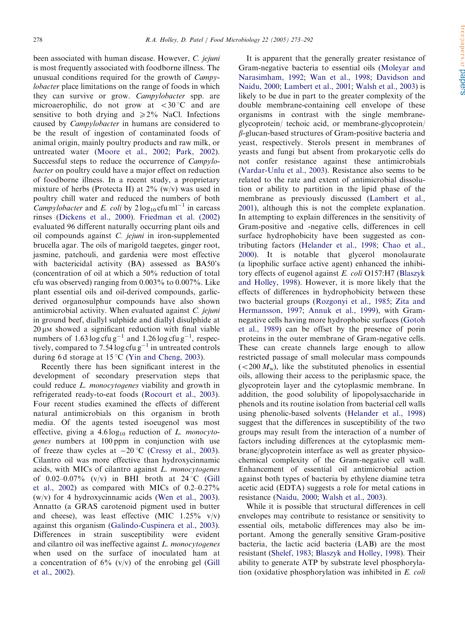been associated with human disease. However, C. jejuni is most frequently associated with foodborne illness. The unusual conditions required for the growth of Campy*lobacter* place limitations on the range of foods in which they can survive or grow. Campylobacter spp. are microaerophilic, do not grow at  $\langle 30^\circ \text{C} \rangle$  and are sensitive to both drying and  $\geq 2\%$  NaCl. Infections caused by Campylobacter in humans are considered to be the result of ingestion of contaminated foods of animal origin, mainly poultry products and raw milk, or untreated water [\(Moore et al., 2002;](#page-18-0) [Park, 2002\)](#page-18-0). Successful steps to reduce the occurrence of *Campylo*bacter on poultry could have a major effect on reduction of foodborne illness. In a recent study, a proprietary mixture of herbs (Protecta II) at  $2\%$  (w/v) was used in poultry chill water and reduced the numbers of both *Campylobacter* and *E. coli* by  $2 \log_{10} c \text{fu} \text{ ml}^{-1}$  in carcass rinses [\(Dickens et al., 2000](#page-17-0)). [Friedman et al. \(2002\)](#page-17-0) evaluated 96 different naturally occurring plant oils and oil compounds against  $C$ . jejuni in iron-supplemented brucella agar. The oils of marigold taegetes, ginger root, jasmine, patchouli, and gardenia were most effective with bactericidal activity (BA) assessed as BA50's (concentration of oil at which a  $50\%$  reduction of total cfu was observed) ranging from  $0.003\%$  to  $0.007\%$ . Like plant essential oils and oil-derived compounds, garlicderived organosulphur compounds have also shown antimicrobial activity. When evaluated against C. jejuni in ground beef, diallyl sulphide and diallyl disulphide at  $20 \mu$ M showed a significant reduction with final viable numbers of  $1.63 \log \text{ctu} \text{ g}^{-1}$  and  $1.26 \log \text{ctu} \text{ g}^{-1}$ , respectively, compared to 7.54  $\log$  cfu g<sup>-1</sup> in untreated controls during 6d storage at 15 °C ([Yin and Cheng, 2003\)](#page-19-0).

Recently there has been significant interest in the development of secondary preservation steps that could reduce L. monocytogenes viability and growth in refrigerated ready-to-eat foods ([Rocourt et al., 2003\)](#page-18-0). Four recent studies examined the effects of different natural antimicrobials on this organism in broth media. Of the agents tested isoeugenol was most effective, giving a  $4.6 \log_{10}$  reduction of L. monocytogenes numbers at 100 ppm in conjunction with use of freeze thaw cycles at  $-20$  °C [\(Cressy et al., 2003\)](#page-17-0). Cilantro oil was more effective than hydroxycinnamic acids, with MICs of cilantro against  $L$ . monocytogenes of 0.02–0.07% (v/v) in BHI broth at 24 °C [\(Gill](#page-17-0) [et al., 2002\)](#page-17-0) as compared with MICs of  $0.2-0.27\%$ (w/v) for 4 hydroxycinnamic acids [\(Wen et al., 2003\)](#page-19-0). Annatto (a GRAS carotenoid pigment used in butter and cheese), was least effective (MIC  $1.25\%$  v/v) against this organism [\(Galindo-Cuspinera et al., 2003\)](#page-17-0). Differences in strain susceptibility were evident and cilantro oil was ineffective against L. monocytogenes when used on the surface of inoculated ham at a concentration of  $6\%$  (v/v) of the enrobing gel [\(Gill](#page-17-0) [et al., 2002\)](#page-17-0).

It is apparent that the generally greater resistance of Gram-negative bacteria to essential oils ([Moleyar and](#page-18-0) [Narasimham, 1992](#page-18-0); [Wan et al., 1998](#page-19-0); [Davidson and](#page-17-0) [Naidu, 2000](#page-17-0); [Lambert et al., 2001;](#page-18-0) [Walsh et al., 2003\)](#page-19-0) is likely to be due in part to the greater complexity of the double membrane-containing cell envelope of these organisms in contrast with the single membraneglycoprotein/ techoic acid, or membrane-glycoprotein/  $\beta$ -glucan-based structures of Gram-positive bacteria and yeast, respectively. Sterols present in membranes of yeasts and fungi but absent from prokaryotic cells do not confer resistance against these antimicrobials ([Vardar-Unlu et al., 2003\)](#page-19-0). Resistance also seems to be related to the rate and extent of antimicrobial dissolution or ability to partition in the lipid phase of the membrane as previously discussed [\(Lambert et al.,](#page-18-0) [2001](#page-18-0)), although this is not the complete explanation. In attempting to explain differences in the sensitivity of Gram-positive and -negative cells, differences in cell surface hydrophobicity have been suggested as contributing factors [\(Helander et al., 1998](#page-17-0); [Chao et al.,](#page-16-0) [2000](#page-16-0)). It is notable that glycerol monolaurate (a lipophilic surface active agent) enhanced the inhibitory effects of eugenol against E. coli O157:H7 ([Blaszyk](#page-16-0) [and Holley, 1998\)](#page-16-0). However, it is more likely that the effects of differences in hydrophobicity between these two bacterial groups [\(Rozgonyi et al., 1985](#page-18-0); [Zita and](#page-19-0) [Hermansson, 1997](#page-19-0); [Annuk et al., 1999\)](#page-16-0), with Gramnegative cells having more hydrophobic surfaces ([Gotoh](#page-17-0) [et al., 1989](#page-17-0)) can be offset by the presence of porin proteins in the outer membrane of Gram-negative cells. These can create channels large enough to allow restricted passage of small molecular mass compounds  $(<200 M_{\rm w})$ , like the substituted phenolics in essential oils, allowing their access to the periplasmic space, the glycoprotein layer and the cytoplasmic membrane. In addition, the good solubility of lipopolysaccharide in phenols and its routine isolation from bacterial cell walls using phenolic-based solvents [\(Helander et al., 1998](#page-17-0)) suggest that the differences in susceptibility of the two groups may result from the interaction of a number of factors including differences at the cytoplasmic membrane/glycoprotein interface as well as greater physicochemical complexity of the Gram-negative cell wall. Enhancement of essential oil antimicrobial action against both types of bacteria by ethylene diamine tetra acetic acid (EDTA) suggests a role for metal cations in resistance [\(Naidu, 2000](#page-18-0); [Walsh et al., 2003\)](#page-19-0).

While it is possible that structural differences in cell envelopes may contribute to resistance or sensitivity to essential oils, metabolic differences may also be important. Among the generally sensitive Gram-positive bacteria, the lactic acid bacteria (LAB) are the most resistant [\(Shelef, 1983;](#page-19-0) [Blaszyk and Holley, 1998\)](#page-16-0). Their ability to generate ATP by substrate level phosphorylation (oxidative phosphorylation was inhibited in E. coli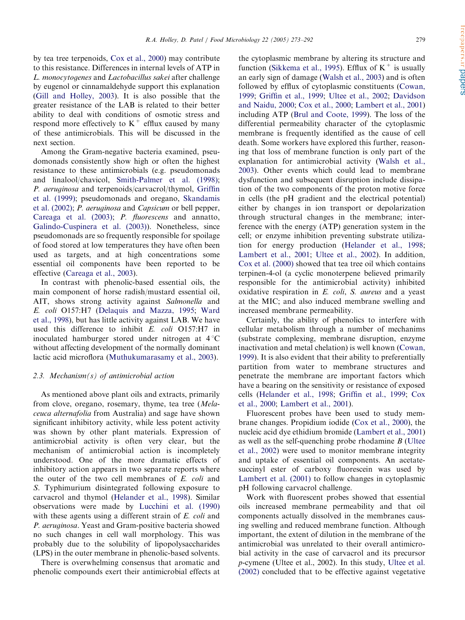by tea tree terpenoids, [Cox et al., 2000\)](#page-16-0) may contribute to this resistance. Differences in internal levels of ATP in L. monocytogenes and Lactobacillus sakei after challenge by eugenol or cinnamaldehyde support this explanation ([Gill and Holley, 2003](#page-17-0)). It is also possible that the greater resistance of the LAB is related to their better ability to deal with conditions of osmotic stress and respond more effectively to  $K^+$  efflux caused by many of these antimicrobials. This will be discussed in the next section.

Among the Gram-negative bacteria examined, pseudomonads consistently show high or often the highest resistance to these antimicrobials (e.g. pseudomonads and linalool/chavicol, [Smith-Palmer et al. \(1998\);](#page-19-0) P. aeruginosa and terpenoids/carvacrol/thymol, [Griffin](#page-17-0) [et al. \(1999\)](#page-17-0); pseudomonads and oregano, [Skandamis](#page-19-0) [et al. \(2002\);](#page-19-0) P. aeruginosa and Capsicum or bell pepper, [Careaga et al. \(2003\)](#page-16-0); P. fluorescens and annatto, [Galindo-Cuspinera et al. \(2003\)\)](#page-17-0). Nonetheless, since pseudomonads are so frequently responsible for spoilage of food stored at low temperatures they have often been used as targets, and at high concentrations some essential oil components have been reported to be effective [\(Careaga et al., 2003](#page-16-0)).

In contrast with phenolic-based essential oils, the main component of horse radish/mustard essential oil, AIT, shows strong activity against Salmonella and E. coli O157:H7 [\(Delaquis and Mazza, 1995;](#page-17-0) [Ward](#page-19-0) [et al., 1998](#page-19-0)), but has little activity against LAB. We have used this difference to inhibit E. coli O157:H7 in inoculated hamburger stored under nitrogen at  $4^{\circ}$ C without affecting development of the normally dominant lactic acid microflora [\(Muthukumarasamy et al., 2003\)](#page-18-0).

#### 2.3. Mechanism(s) of antimicrobial action

As mentioned above plant oils and extracts, primarily from clove, oregano, rosemary, thyme, tea tree (Melaceuca alternafolia from Australia) and sage have shown significant inhibitory activity, while less potent activity was shown by other plant materials. Expression of antimicrobial activity is often very clear, but the mechanism of antimicrobial action is incompletely understood. One of the more dramatic effects of inhibitory action appears in two separate reports where the outer of the two cell membranes of E. coli and S. Typhimurium disintegrated following exposure to carvacrol and thymol ([Helander et al., 1998](#page-17-0)). Similar observations were made by [Lucchini et al. \(1990\)](#page-18-0) with these agents using a different strain of E. coli and P. aeruginosa. Yeast and Gram-positive bacteria showed no such changes in cell wall morphology. This was probably due to the solubility of lipopolysaccharides (LPS) in the outer membrane in phenolic-based solvents.

There is overwhelming consensus that aromatic and phenolic compounds exert their antimicrobial effects at

the cytoplasmic membrane by altering its structure and function ([Sikkema et al., 1995](#page-19-0)). Efflux of  $K^+$  is usually an early sign of damage ([Walsh et al., 2003\)](#page-19-0) and is often followed by efflux of cytoplasmic constituents ([Cowan,](#page-16-0) [1999](#page-16-0); [Griffin et al., 1999](#page-17-0); [Ultee et al., 2002;](#page-19-0) [Davidson](#page-17-0) [and Naidu, 2000;](#page-17-0) [Cox et al., 2000](#page-16-0); [Lambert et al., 2001](#page-18-0)) including ATP ([Brul and Coote, 1999\)](#page-16-0). The loss of the differential permeability character of the cytoplasmic membrane is frequently identified as the cause of cell death. Some workers have explored this further, reasoning that loss of membrane function is only part of the explanation for antimicrobial activity ([Walsh et al.,](#page-19-0) [2003](#page-19-0)). Other events which could lead to membrane dysfunction and subsequent disruption include dissipation of the two components of the proton motive force in cells (the pH gradient and the electrical potential) either by changes in ion transport or depolarization through structural changes in the membrane; interference with the energy (ATP) generation system in the cell; or enzyme inhibition preventing substrate utilization for energy production [\(Helander et al., 1998;](#page-17-0) [Lambert et al., 2001;](#page-18-0) [Ultee et al., 2002\)](#page-19-0). In addition, [Cox et al. \(2000\)](#page-16-0) showed that tea tree oil which contains terpinen-4-ol (a cyclic monoterpene believed primarily responsible for the antimicrobial activity) inhibited oxidative respiration in E. coli, S. aureus and a yeast at the MIC; and also induced membrane swelling and increased membrane permeability.

Certainly, the ability of phenolics to interfere with cellular metabolism through a number of mechanims (substrate complexing, membrane disruption, enzyme inactivation and metal chelation) is well known ([Cowan,](#page-16-0) [1999](#page-16-0)). It is also evident that their ability to preferentially partition from water to membrane structures and penetrate the membrane are important factors which have a bearing on the sensitivity or resistance of exposed cells ([Helander et al., 1998;](#page-17-0) [Griffin et al., 1999](#page-17-0); [Cox](#page-16-0) [et al., 2000;](#page-16-0) [Lambert et al., 2001\)](#page-18-0).

Fluorescent probes have been used to study membrane changes. Propidium iodide [\(Cox et al., 2000](#page-16-0)), the nucleic acid dye ethidium bromide [\(Lambert et al., 2001](#page-18-0)) as well as the self-quenching probe rhodamine B ([Ultee](#page-19-0) [et al., 2002](#page-19-0)) were used to monitor membrane integrity and uptake of essential oil components. An acetatesuccinyl ester of carboxy fluorescein was used by [Lambert et al. \(2001\)](#page-18-0) to follow changes in cytoplasmic pH following carvacrol challenge.

Work with fluorescent probes showed that essential oils increased membrane permeability and that oil components actually dissolved in the membranes causing swelling and reduced membrane function. Although important, the extent of dilution in the membrane of the antimicrobial was unrelated to their overall antimicrobial activity in the case of carvacrol and its precursor p-cymene (Ultee et al., 2002). In this study, [Ultee et al.](#page-19-0) [\(2002\)](#page-19-0) concluded that to be effective against vegetative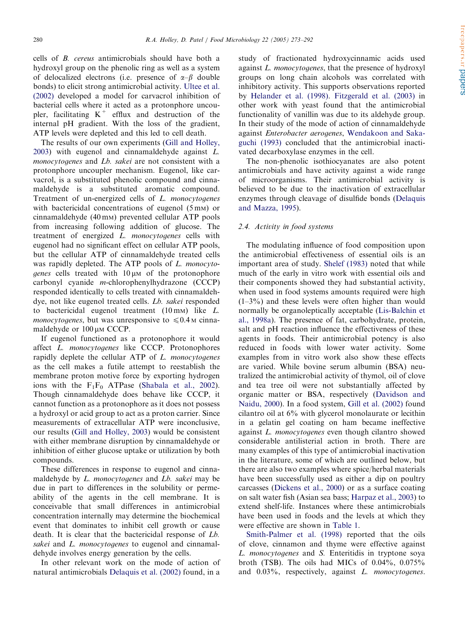cells of B. cereus antimicrobials should have both a hydroxyl group on the phenolic ring as well as a system of delocalized electrons (i.e. presence of  $\alpha-\beta$  double bonds) to elicit strong antimicrobial activity. [Ultee et al.](#page-19-0) [\(2002\)](#page-19-0) developed a model for carvacrol inhibition of bacterial cells where it acted as a protonphore uncoupler, facilitating  $K^+$  efflux and destruction of the internal pH gradient. With the loss of the gradient, ATP levels were depleted and this led to cell death.

The results of our own experiments ([Gill and Holley,](#page-17-0) [2003](#page-17-0)) with eugenol and cinnamaldehyde against L. monocytogenes and Lb. sakei are not consistent with a protonphore uncoupler mechanism. Eugenol, like carvacrol, is a substituted phenolic compound and cinnamaldehyde is a substituted aromatic compound. Treatment of un-energized cells of L. monocytogenes with bactericidal concentrations of eugenol  $(5 \text{ mm})$  or cinnamaldehyde (40 mM) prevented cellular ATP pools from increasing following addition of glucose. The treatment of energized L. monocytogenes cells with eugenol had no significant effect on cellular ATP pools, but the cellular ATP of cinnamaldehyde treated cells was rapidly depleted. The ATP pools of L. monocytogenes cells treated with  $10 \mu$ M of the protonophore carbonyl cyanide m-chlorophenylhydrazone (CCCP) responded identically to cells treated with cinnamaldehdye, not like eugenol treated cells. *Lb. sakei* responded to bactericidal eugenol treatment  $(10 \text{ mm})$  like  $L$ . *monocytogenes*, but was unresponsive to  $\leq 0.4$  M cinnamaldehyde or  $100 \mu M$  CCCP.

If eugenol functioned as a protonophore it would affect L. monocytogenes like CCCP. Protonophores rapidly deplete the cellular ATP of L. *monocytogenes* as the cell makes a futile attempt to reestablish the membrane proton motive force by exporting hydrogen ions with the  $F_1F_0$  ATPase ([Shabala et al., 2002\)](#page-19-0). Though cinnamaldehyde does behave like CCCP, it cannot function as a protonophore as it does not possess a hydroxyl or acid group to act as a proton carrier. Since measurements of extracellular ATP were inconclusive, our results [\(Gill and Holley, 2003](#page-17-0)) would be consistent with either membrane disruption by cinnamaldehyde or inhibition of either glucose uptake or utilization by both compounds.

These differences in response to eugenol and cinnamaldehyde by *L. monocytogenes* and *Lb. sakei* may be due in part to differences in the solubility or permeability of the agents in the cell membrane. It is conceivable that small differences in antimicrobial concentration internally may determine the biochemical event that dominates to inhibit cell growth or cause death. It is clear that the bactericidal response of Lb. sakei and L. monocytogenes to eugenol and cinnamaldehyde involves energy generation by the cells.

In other relevant work on the mode of action of natural antimicrobials [Delaquis et al. \(2002\)](#page-17-0) found, in a study of fractionated hydroxycinnamic acids used against L. *monocytogenes*, that the presence of hydroxyl groups on long chain alcohols was correlated with inhibitory activity. This supports observations reported by [Helander et al. \(1998\)](#page-17-0). [Fitzgerald et al. \(2003\)](#page-17-0) in other work with yeast found that the antimicrobial functionality of vanillin was due to its aldehyde group. In their study of the mode of action of cinnamaldehyde against Enterobacter aerogenes, [Wendakoon and Saka](#page-19-0)[guchi \(1993\)](#page-19-0) concluded that the antimicrobial inactivated decarboxylase enzymes in the cell.

The non-phenolic isothiocyanates are also potent antimicrobials and have activity against a wide range of microorganisms. Their antimicrobial activity is believed to be due to the inactivation of extracellular enzymes through cleavage of disulfide bonds ([Delaquis](#page-17-0) [and Mazza, 1995](#page-17-0)).

### 2.4. Activity in food systems

The modulating influence of food composition upon the antimicrobial effectiveness of essential oils is an important area of study. Shelef (1983) noted that while much of the early in vitro work with essential oils and their components showed they had substantial activity, when used in food systems amounts required were high  $(1-3\%)$  and these levels were often higher than would normally be organoleptically acceptable [\(Lis-Balchin et](#page-18-0) [al., 1998a](#page-18-0)). The presence of fat, carbohydrate, protein, salt and pH reaction influence the effectiveness of these agents in foods. Their antimicrobial potency is also reduced in foods with lower water activity. Some examples from in vitro work also show these effects are varied. While bovine serum albumin (BSA) neutralized the antimicrobial activity of thymol, oil of clove and tea tree oil were not substantially affected by organic matter or BSA, respectively [\(Davidson and](#page-17-0) [Naidu, 2000](#page-17-0)). In a food system, [Gill et al. \(2002\)](#page-17-0) found cilantro oil at 6% with glycerol monolaurate or lecithin in a gelatin gel coating on ham became ineffective against L. monocytogenes even though cilantro showed considerable antilisterial action in broth. There are many examples of this type of antimicrobial inactivation in the literature, some of which are outlined below, but there are also two examples where spice/herbal materials have been successfully used as either a dip on poultry carcasses [\(Dickens et al., 2000\)](#page-17-0) or as a surface coating on salt water fish (Asian sea bass; [Harpaz et al., 2003\)](#page-17-0) to extend shelf-life. Instances where these antimicrobials have been used in foods and the levels at which they were effective are shown in [Table 1.](#page-8-0)

[Smith-Palmer et al. \(1998\)](#page-19-0) reported that the oils of clove, cinnamon and thyme were effective against L. monocytogenes and S. Enteritidis in tryptone soya broth (TSB). The oils had MICs of  $0.04\%$ ,  $0.075\%$ and 0.03%, respectively, against L. monocytogenes.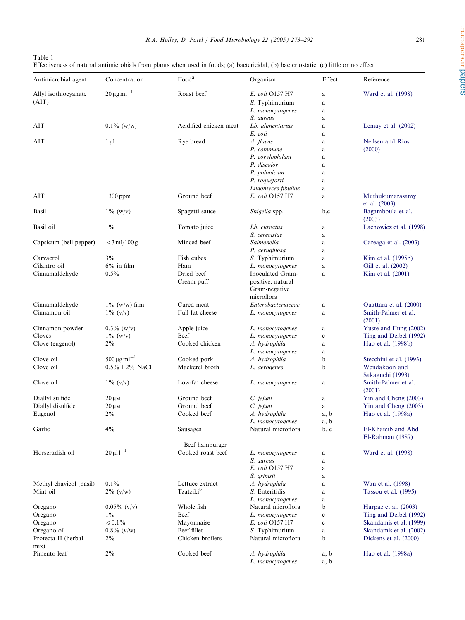| ٧ | I<br>v.<br>٩ |  |
|---|--------------|--|

<span id="page-8-0"></span>

| Table 1                                                                                                                               |
|---------------------------------------------------------------------------------------------------------------------------------------|
| Effectiveness of natural antimicrobials from plants when used in foods; (a) bactericidal, (b) bacteriostatic, (c) little or no effect |

| Antimicrobial agent     | Concentration                   | Food <sup>a</sup>      | Organism                               | Effect      | Reference                        |
|-------------------------|---------------------------------|------------------------|----------------------------------------|-------------|----------------------------------|
| Allyl isothiocyanate    | $20 \,\mathrm{\mu g\,ml}^{-1}$  | Roast beef             | E. coli O157:H7                        | a           | Ward et al. (1998)               |
| (AIT)                   |                                 |                        | S. Typhimurium                         | a           |                                  |
|                         |                                 |                        | L. monocytogenes                       | a           |                                  |
|                         |                                 |                        | S. aureus                              | a           |                                  |
| AIT                     | $0.1\%$ (w/w)                   | Acidified chicken meat | Lb. alimentarius                       | a           | Lemay et al. $(2002)$            |
|                         |                                 |                        | E. coli                                | a           |                                  |
| AIT                     | $1 \mu l$                       | Rye bread              | A. flavus                              | a           | Neilsen and Rios                 |
|                         |                                 |                        | P. commune                             | a           | (2000)                           |
|                         |                                 |                        | P. corylophilum                        | a           |                                  |
|                         |                                 |                        | P. discolor                            | a           |                                  |
|                         |                                 |                        | P. polonicum                           | a           |                                  |
|                         |                                 |                        | P. roqueforti                          | a           |                                  |
|                         |                                 |                        | Endomyces fibulige                     | a           |                                  |
| AIT                     | $1300$ ppm                      | Ground beef            | E. coli O157:H7                        | a           | Muthukumarasamy<br>et al. (2003) |
| Basil                   | $1\%$ (w/v)                     | Spagetti sauce         | Shigella spp.                          | b,c         | Bagamboula et al.<br>(2003)      |
| Basil oil               | $1\%$                           | Tomato juice           | Lb. curvatus                           | a           | Lachowicz et al. (1998)          |
|                         |                                 |                        | S. cerevisiae                          | a           |                                  |
| Capsicum (bell pepper)  | $<$ 3 ml/100 g                  | Minced beef            | Salmonella                             | a           | Careaga et al. (2003)            |
|                         |                                 |                        | P. aeruginosa                          | a           |                                  |
| Carvacrol               | $3\%$                           | Fish cubes             | S. Typhimurium                         | a           | Kim et al. (1995b)               |
| Cilantro oil            | $6\%$ in film                   | Ham                    | L. monocytogenes                       | a           | Gill et al. (2002)               |
| Cinnamaldehyde          | 0.5%                            | Dried beef             | Inoculated Gram-                       | a           | Kim et al. (2001)                |
|                         |                                 | Cream puff             | positive, natural                      |             |                                  |
|                         |                                 |                        | Gram-negative                          |             |                                  |
|                         |                                 |                        | microflora                             |             |                                  |
| Cinnamaldehyde          | $1\%$ (w/w) film                | Cured meat             | Enterobacteriaceae                     | a           | Ouattara et al. (2000)           |
| Cinnamon oil            | $1\%$ (v/v)                     | Full fat cheese        | L. monocytogenes                       | a           | Smith-Palmer et al.              |
|                         |                                 |                        |                                        |             | (2001)                           |
| Cinnamon powder         | $0.3\%$ (w/v)                   | Apple juice            | L. monocytogenes                       | a           | Yuste and Fung (2002)            |
| Cloves                  | $1\%$ (w/v)                     | Beef                   | L. monocytogenes                       | $\mathbf c$ | Ting and Deibel (1992)           |
| Clove (eugenol)         | $2\%$                           | Cooked chicken         | A. hydrophila                          | a           | Hao et al. (1998b)               |
|                         |                                 |                        | L. monocytogenes                       | a           |                                  |
| Clove oil               | $500 \,\mathrm{\mu g\,ml}^{-1}$ | Cooked pork            | A. hydrophila                          | b           | Stecchini et al. (1993)          |
| Clove oil               | $0.5\% + 2\%$ NaCl              | Mackerel broth         | E. aerogenes                           | b           | Wendakoon and                    |
|                         |                                 |                        |                                        |             | Sakaguchi (1993)                 |
| Clove oil               | $1\%$ (v/v)                     | Low-fat cheese         | L. monocytogenes                       | a           | Smith-Palmer et al.              |
|                         |                                 |                        |                                        |             | (2001)                           |
| Diallyl sulfide         | $20 \mu M$                      | Ground beef            | C. jejuni                              | a           | Yin and Cheng (2003)             |
| Diallyl disulfide       | $20 \mu M$                      | Ground beef            | C. jejuni                              | a           | Yin and Cheng (2003)             |
| Eugenol                 | $2\%$                           | Cooked beef            | A. hydrophila                          |             | Hao et al. (1998a)               |
|                         |                                 |                        |                                        | a, b        |                                  |
| Garlic                  | $4\%$                           | Sausages               | L. monocytogenes<br>Natural microflora | a, b        | El-Khateib and Abd               |
|                         |                                 |                        |                                        | b, c        | El-Rahman (1987)                 |
|                         |                                 | Beef hamburger         |                                        |             |                                  |
| Horseradish oil         | $20 \mu l l^{-1}$               | Cooked roast beef      |                                        |             | Ward et al. (1998)               |
|                         |                                 |                        | L. monocytogenes                       | a           |                                  |
|                         |                                 |                        | S. aureus<br>E. coli O157:H7           | a           |                                  |
|                         |                                 |                        |                                        | a           |                                  |
|                         |                                 |                        | S. grimsii                             | a           |                                  |
| Methyl chavicol (basil) | $0.1\%$                         | Lettuce extract        | A. hydrophila                          | a           | Wan et al. (1998)                |
| Mint oil                | $2\%$ (v/w)                     | Tzatziki <sup>b</sup>  | S. Enteritidis                         | a           | Tassou et al. (1995)             |
|                         |                                 |                        | L. monocytogenes                       | a           |                                  |
| Oregano                 | $0.05\%$ (v/v)                  | Whole fish             | Natural microflora                     | b           | Harpaz et al. (2003)             |
| Oregano                 | $1\%$                           | Beef                   | L. monocytogenes                       | $\mathbf c$ | Ting and Deibel (1992)           |
| Oregano                 | $\leq 0.1\%$                    | Mayonnaise             | E. coli O157:H7                        | $\mathbf c$ | Skandamis et al. (1999)          |
| Oregano oil             | $0.8\%$ (v/w)                   | Beef fillet            | S. Typhimurium                         | a           | Skandamis et al. (2002)          |
| Protecta II (herbal     | $2\%$                           | Chicken broilers       | Natural microflora                     | b           | Dickens et al. (2000)            |
| mix)                    |                                 |                        |                                        |             |                                  |
| Pimento leaf            | $2\%$                           | Cooked beef            | A. hydrophila                          | a, b        | Hao et al. (1998a)               |
|                         |                                 |                        | L. monocytogenes                       | a, b        |                                  |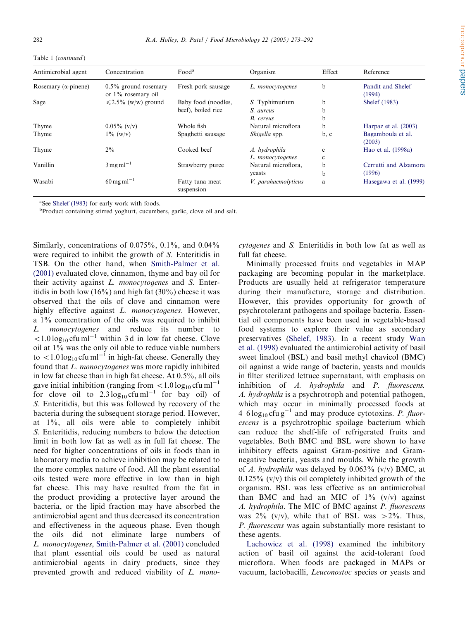|  | Table 1 (continued) |
|--|---------------------|
|--|---------------------|

| Antimicrobial agent          | Concentration                                 | Food <sup>a</sup>             | Organism            | Effect       | Reference                   |
|------------------------------|-----------------------------------------------|-------------------------------|---------------------|--------------|-----------------------------|
| Rosemary ( $\alpha$ -pinene) | $0.5\%$ ground rosemary<br>or 1% rosemary oil | Fresh pork sausage            | L. monocytogenes    | b            | Pandit and Shelef<br>(1994) |
| Sage                         | $\leq 2.5\%$ (w/w) ground                     | Baby food (noodles,           | S. Typhimurium      | b            | Shelef (1983)               |
|                              |                                               | beef), boiled rice            | S. aureus           | b            |                             |
|                              |                                               |                               | B. cereus           | b            |                             |
| Thyme                        | $0.05\%$ (v/v)                                | Whole fish                    | Natural microflora  | b            | Harpaz et al. (2003)        |
| Thyme                        | $1\%$ (w/v)                                   | Spaghetti sausage             | Shigella spp.       | b, c         | Bagamboula et al.<br>(2003) |
| Thyme                        | $2\%$                                         | Cooked beef                   | A. hydrophila       | $\mathbf{c}$ | Hao et al. (1998a)          |
|                              |                                               |                               | L. monocytogenes    | c            |                             |
| Vanillin                     | $3 \,\mathrm{mg}\,\mathrm{m}^{-1}$            | Strawberry puree              | Natural microflora, | b            | Cerrutti and Alzamora       |
|                              |                                               |                               | yeasts              | b            | (1996)                      |
| Wasabi                       | $60 \,\mathrm{mg}\,\mathrm{ml}^{-1}$          | Fatty tuna meat<br>suspension | V. parahaemolyticus | a            | Hasegawa et al. (1999)      |

<sup>a</sup>See Shelef (1983) for early work with foods.

<sup>b</sup>Product containing stirred yoghurt, cucumbers, garlic, clove oil and salt.

Similarly, concentrations of  $0.075%$ ,  $0.1%$ , and  $0.04%$ were required to inhibit the growth of S. Enteritidis in TSB. On the other hand, when [Smith-Palmer et al.](#page-19-0) [\(2001\)](#page-19-0) evaluated clove, cinnamon, thyme and bay oil for their activity against L. monocytogenes and S. Enteritidis in both low  $(16\%)$  and high fat  $(30\%)$  cheese it was observed that the oils of clove and cinnamon were highly effective against *L. monocytogenes*. However, a  $1\%$  concentration of the oils was required to inhibit L. monocytogenes and reduce its number to  $< 1.0$  log<sub>10</sub> cfu ml<sup>-1</sup> within 3 d in low fat cheese. Clove oil at 1% was the only oil able to reduce viable numbers to  $\langle 1.0 \log_{10} c f u m \rangle^{-1}$  in high-fat cheese. Generally they found that L. monocytogenes was more rapidly inhibited in low fat cheese than in high fat cheese. At 0.5%, all oils gave initial inhibition (ranging from  $\lt 1.0 \log_{10} \text{cfu} \text{ ml}^{-1}$ for clove oil to  $2.3 \log_{10} \text{c}$ fu ml<sup>-1</sup> for bay oil) of S. Enteritidis, but this was followed by recovery of the bacteria during the subsequent storage period. However, at 1%, all oils were able to completely inhibit S. Enteritidis, reducing numbers to below the detection limit in both low fat as well as in full fat cheese. The need for higher concentrations of oils in foods than in laboratory media to achieve inhibition may be related to the more complex nature of food. All the plant essential oils tested were more effective in low than in high fat cheese. This may have resulted from the fat in the product providing a protective layer around the bacteria, or the lipid fraction may have absorbed the antimicrobial agent and thus decreased its concentration and effectiveness in the aqueous phase. Even though the oils did not eliminate large numbers of L. monocytogenes, [Smith-Palmer et al. \(2001\)](#page-19-0) concluded that plant essential oils could be used as natural antimicrobial agents in dairy products, since they prevented growth and reduced viability of L. mono-

cytogenes and S. Enteritidis in both low fat as well as full fat cheese.

Minimally processed fruits and vegetables in MAP packaging are becoming popular in the marketplace. Products are usually held at refrigerator temperature during their manufacture, storage and distribution. However, this provides opportunity for growth of psychrotolerant pathogens and spoilage bacteria. Essential oil components have been used in vegetable-based food systems to explore their value as secondary preservatives ([Shelef, 1983](#page-19-0)). In a recent study [Wan](#page-19-0) [et al. \(1998\)](#page-19-0) evaluated the antimicrobial activity of basil sweet linalool (BSL) and basil methyl chavicol (BMC) oil against a wide range of bacteria, yeasts and moulds in filter sterilized lettuce supernatant, with emphasis on inhibition of A. hydrophila and P. fluorescens. A. hydrophila is a psychrotroph and potential pathogen, which may occur in minimally processed foods at  $4-6 \log_{10} \text{c}$ fu g<sup>-1</sup> and may produce cytotoxins. *P. fluor*escens is a psychrotrophic spoilage bacterium which can reduce the shelf-life of refrigerated fruits and vegetables. Both BMC and BSL were shown to have inhibitory effects against Gram-positive and Gramnegative bacteria, yeasts and moulds. While the growth of A. hydrophila was delayed by  $0.063\%$  (v/v) BMC, at  $0.125\%$  (v/v) this oil completely inhibited growth of the organism. BSL was less effective as an antimicrobial than BMC and had an MIC of  $1\%$  (v/v) against A. hydrophila. The MIC of BMC against P. fluorescens was  $2\%$  (v/v), while that of BSL was  $>2\%$ . Thus, P. *fluorescens* was again substantially more resistant to these agents.

[Lachowicz et al. \(1998\)](#page-18-0) examined the inhibitory action of basil oil against the acid-tolerant food microflora. When foods are packaged in MAPs or vacuum, lactobacilli, Leuconostoc species or yeasts and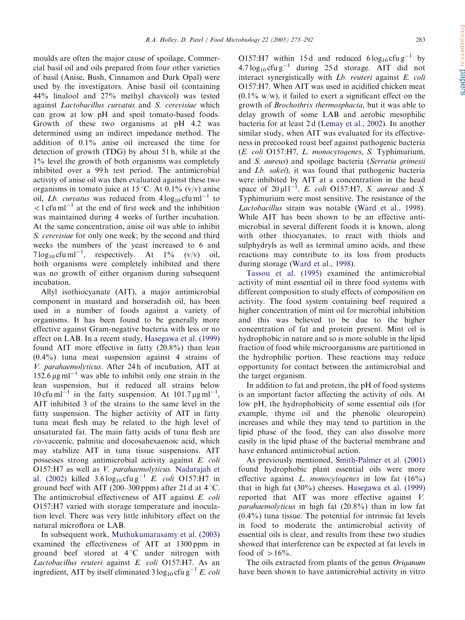moulds are often the major cause of spoilage. Commercial basil oil and oils prepared from four other varieties of basil (Anise, Bush, Cinnamon and Dark Opal) were used by the investigators. Anise basil oil (containing 44% linalool and 27% methyl chavicol) was tested against Lactobacillus curvatus and S. cerevisiae which can grow at low pH and spoil tomato-based foods. Growth of these two organisms at  $pH$  4.2 was determined using an indirect impedance method. The addition of  $0.1\%$  anise oil increased the time for detection of growth (TDG) by about 51 h, while at the  $1\%$  level the growth of both organisms was completely inhibited over a 99h test period. The antimicrobial activity of anise oil was then evaluated against these two organisms in tomato juice at 15 °C. At 0.1% (v/v) anise oil, Lb. curvatus was reduced from  $4\log_{10} c\text{fu}\,\text{m}^{-1}$  to  $1$  cfu ml<sup>-1</sup> at the end of first week and the inhibition was maintained during 4 weeks of further incubation. At the same concentration, anise oil was able to inhibit S. cerevisiae for only one week; by the second and third weeks the numbers of the yeast increased to 6 and  $7 \log_{10} \text{ctu} \text{ ml}^{-1}$ , respectively. At  $1\%$  (v/v) oil, both organisms were completely inhibited and there was no growth of either organism during subsequent

incubation. Allyl isothiocyanate (AIT), a major antimicrobial component in mustard and horseradish oil, has been used in a number of foods against a variety of organisms. It has been found to be generally more effective against Gram-negative bacteria with less or no effect on LAB. In a recent study, [Hasegawa et al. \(1999\)](#page-17-0) found AIT more effective in fatty (20.8%) than lean (0.4%) tuna meat suspension against 4 strains of V. parahaemolyticus. After 24 h of incubation, AIT at  $152.6 \,\mathrm{\upmu}\mathrm{g}\,\mathrm{m}^{-1}$  was able to inhibit only one strain in the lean suspension, but it reduced all strains below 10 cfu ml<sup>-1</sup> in the fatty suspension. At 101.7  $\mu$ g ml<sup>-1</sup>, AIT inhibited 3 of the strains to the same level in the fatty suspension. The higher activity of AIT in fatty tuna meat flesh may be related to the high level of unsaturated fat. The main fatty acids of tuna flesh are cis-vaccenic, palmitic and docosahexaenoic acid, which may stabilize AIT in tuna tissue suspensions. AIT possesses strong antimicrobial activity against E. coli O157:H7 as well as V. parahaemolyticus. [Nadarajah et](#page-18-0) [al. \(2002\)](#page-18-0) killed  $3.6 \log_{10} c f u g^{-1} E.$  *coli* O157:H7 in ground beef with AIT (200–300 ppm) after 21 d at  $4^{\circ}$ C. The antimicrobial effectiveness of AIT against E. coli O157:H7 varied with storage temperature and inoculation level. There was very little inhibitory effect on the natural microflora or LAB.

In subsequent work, [Muthukumarasamy et al. \(2003\)](#page-18-0) examined the effectiveness of AIT at 1300 ppm in ground beef stored at  $4^{\circ}$ C under nitrogen with Lactobacillus reuteri against E. coli O157:H7. As an ingredient, AIT by itself eliminated  $3 \log_{10} c f u g^{-1} E$ . coli O157:H7 within 15d and reduced  $6 \log_{10} c f u g^{-1}$  by  $4.7 \log_{10} \text{c}$ fu g<sup>-1</sup> during 25 d storage. AIT did not interact synergistically with Lb. reuteri against E. coli O157:H7. When AIT was used in acidified chicken meat  $(0.1\%$  w/w), it failed to exert a significant effect on the growth of Brochothrix thermosphacta, but it was able to delay growth of some LAB and aerobic mesophilic bacteria for at least 2 d ([Lemay et al., 2002\)](#page-18-0). In another similar study, when AIT was evaluated for its effectiveness in precooked roast beefagainst pathogenic bacteria (E. coli O157:H7, L. monocytogenes, S. Typhimurium, and S. aureus) and spoilage bacteria (Serratia grimesii and Lb. sakei), it was found that pathogenic bacteria were inhibited by AIT at a concentration in the head space of  $20 \mu l l^{-1}$ . E. coli O157:H7, S. aureus and S. Typhimurium were most sensitive. The resistance of the Lactobacillus strain was notable ([Ward et al., 1998\)](#page-19-0). While AIT has been shown to be an effective antimicrobial in several different foods it is known, along with other thiocyanates, to react with thiols and sulphydryls as well as terminal amino acids, and these reactions may contribute to its loss from products during storage [\(Ward et al., 1998](#page-19-0)).

[Tassou et al. \(1995\)](#page-19-0) examined the antimicrobial activity of mint essential oil in three food systems with different composition to study effects of composition on activity. The food system containing beef required a higher concentration of mint oil for microbial inhibition and this was believed to be due to the higher concentration of fat and protein present. Mint oil is hydrophobic in nature and so is more soluble in the lipid fraction of food while microorganisms are partitioned in the hydrophilic portion. These reactions may reduce opportunity for contact between the antimicrobial and the target organism.

In addition to fat and protein, the pH of food systems is an important factor affecting the activity of oils. At low pH, the hydrophobicity of some essential oils (for example, thyme oil and the phenolic oleuropein) increases and while they may tend to partition in the lipid phase of the food, they can also dissolve more easily in the lipid phase of the bacterial membrane and have enhanced antimicrobial action.

As previously mentioned, [Smith-Palmer et al. \(2001\)](#page-19-0) found hydrophobic plant essential oils were more effective against  $L.$  monocytogenes in low fat  $(16%)$ that in high fat (30%) cheeses. [Hasegawa et al. \(1999\)](#page-17-0) reported that AIT was more effective against V. parahaemolyticus in high fat (20.8%) than in low fat (0.4%) tuna tissue. The potential for intrinsic fat levels in food to moderate the antimicrobial activity of essential oils is clear, and results from these two studies showed that interference can be expected at fat levels in food of  $>16\%$ .

The oils extracted from plants of the genus Origanum have been shown to have antimicrobial activity in vitro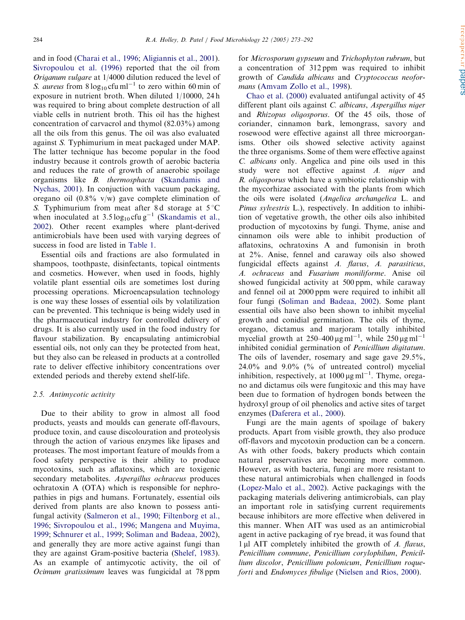and in food ([Charai et al., 1996](#page-16-0); [Aligiannis et al., 2001\)](#page-16-0). [Sivropoulou et al. \(1996\)](#page-19-0) reported that the oil from Origanum vulgare at 1/4000 dilution reduced the level of S. aureus from  $8 \log_{10} \text{cfu} \text{ ml}^{-1}$  to zero within 60 min of exposure in nutrient broth. When diluted 1/10000, 24 h was required to bring about complete destruction of all viable cells in nutrient broth. This oil has the highest concentration of carvacrol and thymol  $(82.03\%)$  among all the oils from this genus. The oil was also evaluated against S. Typhimurium in meat packaged under MAP. The latter technique has become popular in the food industry because it controls growth of aerobic bacteria and reduces the rate of growth of anaerobic spoilage organisms like B. thermosphacta ([Skandamis and](#page-19-0) [Nychas, 2001](#page-19-0)). In conjuction with vacuum packaging, oregano oil  $(0.8\% \text{ v/w})$  gave complete elimination of S. Typhimurium from meat after 8d storage at  $5^{\circ}$ C when inoculated at  $3.5 \log_{10} c f u g^{-1}$  [\(Skandamis et al.,](#page-19-0) [2002](#page-19-0)). Other recent examples where plant-derived antimicrobials have been used with varying degrees of success in food are listed in [Table 1](#page-8-0).

Essential oils and fractions are also formulated in shampoos, toothpaste, disinfectants, topical ointments and cosmetics. However, when used in foods, highly volatile plant essential oils are sometimes lost during processing operations. Microencapsulation technology is one way these losses of essential oils by volatilization can be prevented. This technique is being widely used in the pharmaceutical industry for controlled delivery of drugs. It is also currently used in the food industry for flavour stabilization. By encapsulating antimicrobial essential oils, not only can they be protected from heat, but they also can be released in products at a controlled rate to deliver effective inhibitory concentrations over extended periods and thereby extend shelf-life.

## 2.5. Antimycotic activity

Due to their ability to grow in almost all food products, yeasts and moulds can generate off-flavours, produce toxin, and cause discolouration and proteolysis through the action of various enzymes like lipases and proteases. The most important feature of moulds from a food safety perspective is their ability to produce mycotoxins, such as aflatoxins, which are toxigenic secondary metabolites. Aspergillus ochraceus produces ochratoxin A (OTA) which is responsible for nephropathies in pigs and humans. Fortunately, essential oils derived from plants are also known to possess antifungal activity [\(Salmeron et al., 1990;](#page-19-0) [Filtenborg et al.,](#page-17-0) [1996](#page-17-0); [Sivropoulou et al., 1996](#page-19-0); [Mangena and Muyima,](#page-18-0) [1999](#page-18-0); [Schnurer et al., 1999;](#page-19-0) [Soliman and Badeaa, 2002\)](#page-19-0), and generally they are more active against fungi than they are against Gram-positive bacteria [\(Shelef, 1983\)](#page-19-0). As an example of antimycotic activity, the oil of Ocimum gratissimum leaves was fungicidal at 78 ppm

for *Microsporum avpseum* and *Trichophyton rubrum*, but a concentration of 312 ppm was required to inhibit growth of Candida albicans and Cryptococcus neoformans ([Amvam Zollo et al., 1998\)](#page-16-0).

[Chao et al. \(2000\)](#page-16-0) evaluated antifungal activity of 45 different plant oils against C. albicans, Aspergillus niger and Rhizopus oligosporus. Of the 45 oils, those of coriander, cinnamon bark, lemongrass, savory and rosewood were effective against all three microorganisms. Other oils showed selective activity against the three organisms. Some of them were effective against C. albicans only. Angelica and pine oils used in this study were not effective against A. niger and R. oligosporus which have a symbiotic relationship with the mycorhizae associated with the plants from which the oils were isolated (Angelica archangelica L. and Pinus sylvestris L.), respectively. In addition to inhibition of vegetative growth, the other oils also inhibited production of mycotoxins by fungi. Thyme, anise and cinnamon oils were able to inhibit production of aflatoxins, ochratoxins A and fumonisin in broth at 2%. Anise, fennel and caraway oils also showed fungicidal effects against A. flavus, A. parasiticus, A. ochraceus and Fusarium moniliforme. Anise oil showed fungicidal activity at 500 ppm, while caraway and fennel oil at 2000 ppm were required to inhibit all four fungi [\(Soliman and Badeaa, 2002\)](#page-19-0). Some plant essential oils have also been shown to inhibit mycelial growth and conidial germination. The oils of thyme, oregano, dictamus and marjoram totally inhibited mycelial growth at  $250-400 \,\mathrm{\mu g\,ml^{-1}}$ , while  $250 \,\mathrm{\mu g\,ml^{-1}}$ inhibited conidial germination of Penicillium digitatum. The oils of lavender, rosemary and sage gave  $29.5\%$ .  $24.0\%$  and  $9.0\%$  (% of untreated control) mycelial inhibition, respectively, at  $1000 \,\mu\text{g}\,\text{ml}^{-1}$ . Thyme, oregano and dictamus oils were fungitoxic and this may have been due to formation of hydrogen bonds between the hydroxyl group of oil phenolics and active sites of target enzymes ([Daferera et al., 2000\)](#page-17-0).

Fungi are the main agents of spoilage of bakery products. Apart from visible growth, they also produce off-flavors and mycotoxin production can be a concern. As with other foods, bakery products which contain natural preservatives are becoming more common. However, as with bacteria, fungi are more resistant to these natural antimicrobials when challenged in foods ([Lopez-Malo et al., 2002](#page-18-0)). Active packagings with the packaging materials delivering antimicrobials, can play an important role in satisfying current requirements because inhibitors are more effective when delivered in this manner. When AIT was used as an antimicrobial agent in active packaging of rye bread, it was found that  $1 \mu$ l AIT completely inhibited the growth of A. flavus, Penicillium commune, Penicillium corylophilum, Penicillium discolor, Penicillium polonicum, Penicillium roqueforti and Endomyces fibulige ([Nielsen and Rios, 2000\)](#page-18-0).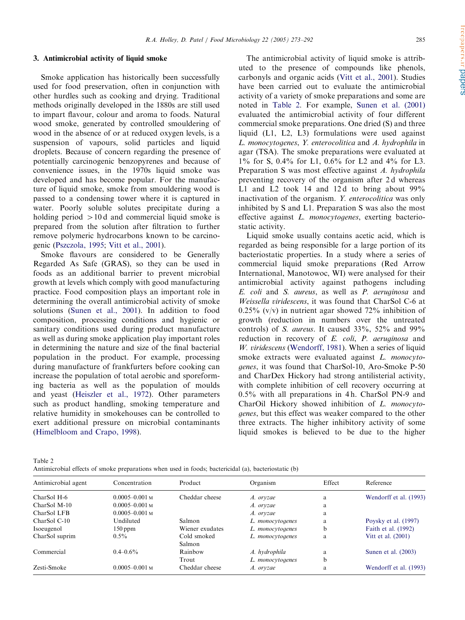## 3. Antimicrobial activity of liquid smoke

Smoke application has historically been successfully used for food preservation, often in conjunction with other hurdles such as cooking and drying. Traditional methods originally developed in the 1880s are still used to impart flavour, colour and aroma to foods. Natural wood smoke, generated by controlled smouldering of wood in the absence of or at reduced oxygen levels, is a suspension of vapours, solid particles and liquid droplets. Because of concern regarding the presence of potentially carcinogenic benzopyrenes and because of convenience issues, in the 1970s liquid smoke was developed and has become popular. For the manufacture of liquid smoke, smoke from smouldering wood is passed to a condensing tower where it is captured in water. Poorly soluble solutes precipitate during a holding period  $>10d$  and commercial liquid smoke is prepared from the solution after filtration to further remove polymeric hydrocarbons known to be carcinogenic [\(Pszczola, 1995](#page-18-0); [Vitt et al., 2001\)](#page-19-0).

Smoke flavours are considered to be Generally Regarded As Safe (GRAS), so they can be used in foods as an additional barrier to prevent microbial growth at levels which comply with good manufacturing practice. Food composition plays an important role in determining the overall antimicrobial activity of smoke solutions ([Sunen et al., 2001\)](#page-19-0). In addition to food composition, processing conditions and hygienic or sanitary conditions used during product manufacture as well as during smoke application play important roles in determining the nature and size of the final bacterial population in the product. For example, processing during manufacture of frankfurters before cooking can increase the population of total aerobic and sporeforming bacteria as well as the population of moulds and yeast [\(Heiszler et al., 1972\)](#page-17-0). Other parameters such as product handling, smoking temperature and relative humidity in smokehouses can be controlled to exert additional pressure on microbial contaminants ([Himelbloom and Crapo, 1998](#page-17-0)).

The antimicrobial activity of liquid smoke is attributed to the presence of compounds like phenols, carbonyls and organic acids ([Vitt et al., 2001\)](#page-19-0). Studies have been carried out to evaluate the antimicrobial activity of a variety of smoke preparations and some are noted in Table 2. For example, [Sunen et al. \(2001\)](#page-19-0) evaluated the antimicrobial activity of four different commercial smoke preparations. One dried (S) and three liquid (L1, L2, L3) formulations were used against L. monocytogenes, Y. enterocolitica and A. hydrophila in agar (TSA). The smoke preparations were evaluated at 1% for S, 0.4% for L1, 0.6% for L2 and 4% for L3. Preparation S was most effective against A. hydrophila preventing recovery of the organism after 2d whereas L1 and L2 took 14 and 12d to bring about  $99\%$ inactivation of the organism. Y. enterocolitica was only inhibited by S and L1. Preparation S was also the most effective against L. monocytogenes, exerting bacteriostatic activity.

Liquid smoke usually contains acetic acid, which is regarded as being responsible for a large portion of its bacteriostatic properties. In a study where a series of commercial liquid smoke preparations (Red Arrow International, Manotowoc, WI) were analysed for their antimicrobial activity against pathogens including E. coli and S. aureus, as well as P. aeruginosa and Weissella viridescens, it was found that CharSol C-6 at  $0.25\%$  (v/v) in nutrient agar showed 72% inhibition of growth (reduction in numbers over the untreated controls) of S. aureus. It caused 33%, 52% and 99% reduction in recovery of E. coli, P. aeruginosa and  $W$ . viridescens [\(Wendorff, 1981](#page-19-0)). When a series of liquid smoke extracts were evaluated against *L. monocyto*genes, it was found that CharSol-10, Aro-Smoke P-50 and CharDex Hickory had strong antilisterial activity, with complete inhibition of cell recovery occurring at 0.5% with all preparations in 4 h. CharSol PN-9 and CharOil Hickory showed inhibition of L. monocytogenes, but this effect was weaker compared to the other three extracts. The higher inhibitory activity of some liquid smokes is believed to be due to the higher

Table 2

Antimicrobial effects of smoke preparations when used in foods; bactericidal (a), bacteriostatic (b)

| Antimicrobial agent | Concentration      | Product               | Organism         | Effect | Reference                 |
|---------------------|--------------------|-----------------------|------------------|--------|---------------------------|
| CharSol H-6         | $0.0005 - 0.001$ M | Cheddar cheese        | A. oryzae        | a      | Wendorff et al. (1993)    |
| CharSol M-10        | $0.0005 - 0.001$ M |                       | A. oryzae        | a      |                           |
| CharSol LFB         | $0.0005 - 0.001$ M |                       | A. oryzae        | a      |                           |
| CharSol C-10        | Undiluted          | Salmon                | L. monocytogenes | a      | Poysky et al. $(1997)$    |
| Isoeugenol          | $150$ ppm          | Wiener exudates       | L. monocytogenes | b      | Faith et al. (1992)       |
| CharSol suprim      | $0.5\%$            | Cold smoked<br>Salmon | L. monocytogenes | a      | <b>Vitt et al.</b> (2001) |
| Commercial          | $0.4 - 0.6\%$      | Rainbow               | A. hydrophila    | a      | Sunen et al. $(2003)$     |
|                     |                    | Trout                 | L. monocytogenes | b      |                           |
| Zesti-Smoke         | $0.0005 - 0.001$ M | Cheddar cheese        | A. oryzae        | a      | Wendorff et al. (1993)    |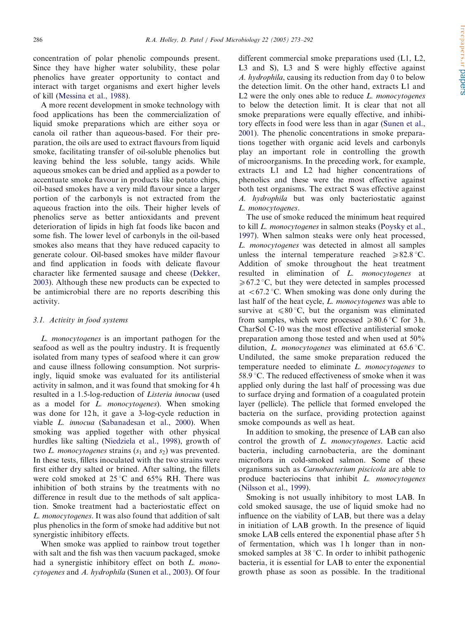concentration of polar phenolic compounds present. Since they have higher water solubility, these polar phenolics have greater opportunity to contact and interact with target organisms and exert higher levels of kill ([Messina et al., 1988\)](#page-18-0).

A more recent development in smoke technology with food applications has been the commercialization of liquid smoke preparations which are either soya or canola oil rather than aqueous-based. For their preparation, the oils are used to extract flavours from liquid smoke, facilitating transfer of oil-soluble phenolics but leaving behind the less soluble, tangy acids. While aqueous smokes can be dried and applied as a powder to accentuate smoke flavour in products like potato chips, oil-based smokes have a very mild flavour since a larger portion of the carbonyls is not extracted from the aqueous fraction into the oils. Their higher levels of phenolics serve as better antioxidants and prevent deterioration of lipids in high fat foods like bacon and some fish. The lower level of carbonyls in the oil-based smokes also means that they have reduced capacity to generate colour. Oil-based smokes have milder flavour and find application in foods with delicate flavour character like fermented sausage and cheese [\(Dekker,](#page-17-0) [2003](#page-17-0)). Although these new products can be expected to be antimicrobial there are no reports describing this activity.

## 3.1. Activity in food systems

L. monocytogenes is an important pathogen for the seafood as well as the poultry industry. It is frequently isolated from many types of seafood where it can grow and cause illness following consumption. Not surprisingly, liquid smoke was evaluated for its antilisterial activity in salmon, and it was found that smoking for 4 h resulted in a 1.5-log-reduction of Listeria innocua (used as a model for L. monocytogenes). When smoking was done for 12 h, it gave a 3-log-cycle reduction in viable L. innocua [\(Sabanadesan et al., 2000](#page-19-0)). When smoking was applied together with other physical hurdles like salting ([Niedziela et al., 1998\)](#page-18-0), growth of two L. monocytogenes strains  $(s_1$  and  $s_2)$  was prevented. In these tests, fillets inoculated with the two strains were first either dry salted or brined. After salting, the fillets were cold smoked at  $25^{\circ}$ C and  $65\%$  RH. There was inhibition of both strains by the treatments with no difference in result due to the methods of salt application. Smoke treatment had a bacteriostatic effect on L. monocytogenes. It was also found that addition of salt plus phenolics in the form of smoke had additive but not synergistic inhibitory effects.

When smoke was applied to rainbow trout together with salt and the fish was then vacuum packaged, smoke had a synergistic inhibitory effect on both *L. mono* $cyciogenesis$  and  $A.$  hydrophila [\(Sunen et al., 2003](#page-19-0)). Of four different commercial smoke preparations used (L1, L2, L3 and S). L3 and S were highly effective against A. hydrophila, causing its reduction from day 0 to below the detection limit. On the other hand, extracts L1 and L2 were the only ones able to reduce  $L$ . monocytogenes to below the detection limit. It is clear that not all smoke preparations were equally effective, and inhibitory effects in food were less than in agar [\(Sunen et al.,](#page-19-0) [2001](#page-19-0)). The phenolic concentrations in smoke preparations together with organic acid levels and carbonyls play an important role in controlling the growth of microorganisms. In the preceding work, for example, extracts L1 and L2 had higher concentrations of phenolics and these were the most effective against both test organisms. The extract S was effective against A. hydrophila but was only bacteriostatic against L. monocytogenes.

The use of smoke reduced the minimum heat required to kill L. monocytogenes in salmon steaks ([Poysky et al.,](#page-18-0) [1997](#page-18-0)). When salmon steaks were only heat processed, L. monocytogenes was detected in almost all samples unless the internal temperature reached  $\geq 82.8$  °C. Addition of smoke throughout the heat treatment resulted in elimination of L. monocytogenes at  $\geq 67.2$  °C, but they were detected in samples processed at  $\langle 67.2 \degree C$ . When smoking was done only during the last half of the heat cycle, *L. monocytogenes* was able to survive at  $\leq 80^{\circ}$ C, but the organism was eliminated from samples, which were processed  $\geq 80.6$  °C for 3 h. CharSol C-10 was the most effective antilisterial smoke preparation among those tested and when used at 50% dilution, *L. monocytogenes* was eliminated at  $65.6^{\circ}$ C. Undiluted, the same smoke preparation reduced the temperature needed to eliminate L. monocytogenes to 58.9  $\degree$ C. The reduced effectiveness of smoke when it was applied only during the last half of processing was due to surface drying and formation of a coagulated protein layer (pellicle). The pellicle that formed enveloped the bacteria on the surface, providing protection against smoke compounds as well as heat.

In addition to smoking, the presence of LAB can also control the growth of L. monocytogenes. Lactic acid bacteria, including carnobacteria, are the dominant microflora in cold-smoked salmon. Some of these organisms such as Carnobacterium piscicola are able to produce bacteriocins that inhibit *L. monocytogenes* ([Nilsson et al., 1999\)](#page-18-0).

Smoking is not usually inhibitory to most LAB. In cold smoked sausage, the use of liquid smoke had no influence on the viability of LAB, but there was a delay in initiation of LAB growth. In the presence of liquid smoke LAB cells entered the exponential phase after 5 h of fermentation, which was 1 h longer than in nonsmoked samples at  $38^{\circ}$ C. In order to inhibit pathogenic bacteria, it is essential for LAB to enter the exponential growth phase as soon as possible. In the traditional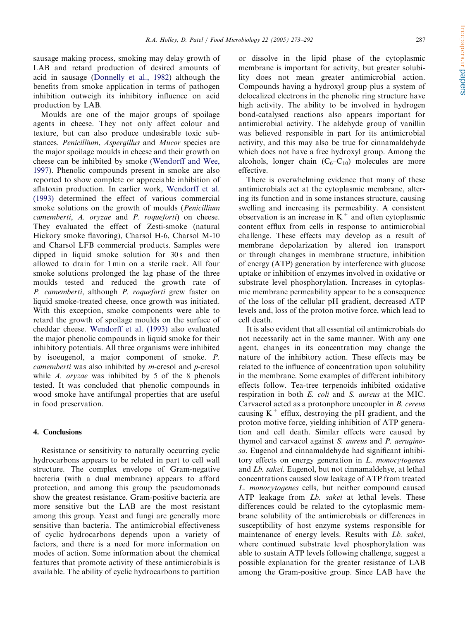sausage making process, smoking may delay growth of LAB and retard production of desired amounts of acid in sausage [\(Donnelly et al., 1982](#page-17-0)) although the benefits from smoke application in terms of pathogen inhibition outweigh its inhibitory influence on acid production by LAB.

Moulds are one of the major groups of spoilage agents in cheese. They not only affect colour and texture, but can also produce undesirable toxic substances. Penicillium, Aspergillus and Mucor species are the major spoilage moulds in cheese and their growth on cheese can be inhibited by smoke ([Wendorff and Wee,](#page-19-0) [1997](#page-19-0)). Phenolic compounds present in smoke are also reported to show complete or appreciable inhibition of aflatoxin production. In earlier work, [Wendorff et al.](#page-19-0) [\(1993\)](#page-19-0) determined the effect of various commercial smoke solutions on the growth of moulds (Penicillium camemberti, A. oryzae and P. roqueforti) on cheese. They evaluated the effect of Zesti-smoke (natural Hickory smoke flavoring), Charsol H-6, Charsol M-10 and Charsol LFB commercial products. Samples were dipped in liquid smoke solution for  $30 s$  and then allowed to drain for 1 min on a sterile rack. All four smoke solutions prolonged the lag phase of the three moulds tested and reduced the growth rate of P. camemberti, although P. roqueforti grew faster on liquid smoke-treated cheese, once growth was initiated. With this exception, smoke components were able to retard the growth of spoilage moulds on the surface of cheddar cheese. [Wendorff et al. \(1993\)](#page-19-0) also evaluated the major phenolic compounds in liquid smoke for their inhibitory potentials. All three organisms were inhibited by isoeugenol, a major component of smoke.  $P$ . camemberti was also inhibited by m-cresol and p-cresol while A.  $orzae$  was inhibited by 5 of the 8 phenols tested. It was concluded that phenolic compounds in wood smoke have antifungal properties that are useful in food preservation.

## 4. Conclusions

Resistance or sensitivity to naturally occurring cyclic hydrocarbons appears to be related in part to cell wall structure. The complex envelope of Gram-negative bacteria (with a dual membrane) appears to afford protection, and among this group the pseudomonads show the greatest resistance. Gram-positive bacteria are more sensitive but the LAB are the most resistant among this group. Yeast and fungi are generally more sensitive than bacteria. The antimicrobial effectiveness of cyclic hydrocarbons depends upon a variety of factors, and there is a need for more information on modes of action. Some information about the chemical features that promote activity of these antimicrobials is available. The ability of cyclic hydrocarbons to partition or dissolve in the lipid phase of the cytoplasmic membrane is important for activity, but greater solubility does not mean greater antimicrobial action. Compounds having a hydroxyl group plus a system of delocalized electrons in the phenolic ring structure have high activity. The ability to be involved in hydrogen bond-catalysed reactions also appears important for antimicrobial activity. The aldehyde group of vanillin was believed responsible in part for its antimicrobial activity, and this may also be true for cinnamaldehyde which does not have a free hydroxyl group. Among the alcohols, longer chain  $(C_6-C_{10})$  molecules are more effective.

There is overwhelming evidence that many of these antimicrobials act at the cytoplasmic membrane, altering its function and in some instances structure, causing swelling and increasing its permeability. A consistent observation is an increase in  $K^+$  and often cytoplasmic content efflux from cells in response to antimicrobial challenge. These effects may develop as a result of membrane depolarization by altered ion transport or through changes in membrane structure, inhibition of energy (ATP) generation by interference with glucose uptake or inhibition ofenzymes involved in oxidative or substrate level phosphorylation. Increases in cytoplasmic membrane permeability appear to be a consequence of the loss of the cellular pH gradient, decreased ATP levels and, loss of the proton motive force, which lead to cell death.

It is also evident that all essential oil antimicrobials do not necessarily act in the same manner. With any one agent, changes in its concentration may change the nature of the inhibitory action. These effects may be related to the influence of concentration upon solubility in the membrane. Some examples of different inhibitory effects follow. Tea-tree terpenoids inhibited oxidative respiration in both E. coli and S. aureus at the MIC. Carvacrol acted as a protonphore uncoupler in B. cereus causing  $K^+$  efflux, destroying the pH gradient, and the proton motive force, yielding inhibition of ATP generation and cell death. Similar effects were caused by thymol and carvacol against S. aureus and P. aeruginosa. Eugenol and cinnamaldehyde had significant inhibitory effects on energy generation in L. *monocytogenes* and Lb. sakei. Eugenol, but not cinnamaldehye, at lethal concentrations caused slow leakage of ATP from treated L. monocytogenes cells, but neither compound caused ATP leakage from *Lb. sakei* at lethal levels. These differences could be related to the cytoplasmic membrane solubility of the antimicrobials or differences in susceptibility of host enzyme systems responsible for maintenance of energy levels. Results with Lb. sakei, where continued substrate level phosphorylation was able to sustain ATP levels following challenge, suggest a possible explanation for the greater resistance of LAB among the Gram-positive group. Since LAB have the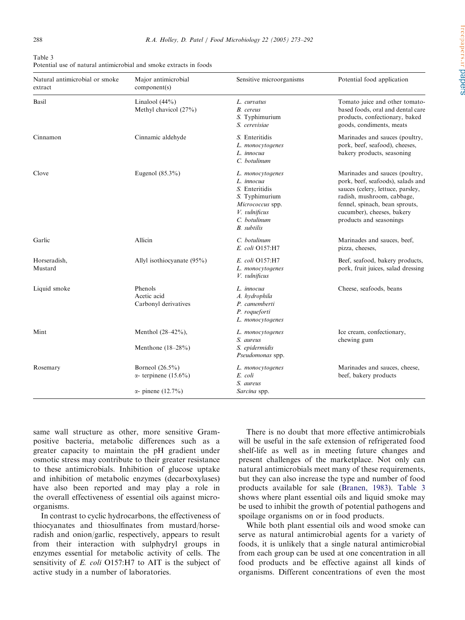| Table 3                                                            |  |
|--------------------------------------------------------------------|--|
| Potential use of natural antimicrobial and smoke extracts in foods |  |

| Natural antimicrobial or smoke<br>extract | Major antimicrobial<br>component(s)                                             | Sensitive microorganisms                                                                                                                      | Potential food application                                                                                                                                                                                                        |
|-------------------------------------------|---------------------------------------------------------------------------------|-----------------------------------------------------------------------------------------------------------------------------------------------|-----------------------------------------------------------------------------------------------------------------------------------------------------------------------------------------------------------------------------------|
| Basil                                     | Linalool $(44\%)$<br>Methyl chavicol (27%)                                      | L. curvatus<br>B. cereus<br>S. Typhimurium<br>S. cerevisiae                                                                                   | Tomato juice and other tomato-<br>based foods, oral and dental care<br>products, confectionary, baked<br>goods, condiments, meats                                                                                                 |
| Cinnamon                                  | Cinnamic aldehyde                                                               | S. Enteritidis<br>L. monocytogenes<br>L. innocua<br>C. botulinum                                                                              | Marinades and sauces (poultry,<br>pork, beef, seafood), cheeses,<br>bakery products, seasoning                                                                                                                                    |
| Clove                                     | Eugenol $(85.3\%)$                                                              | L. monocytogenes<br>L. innocua<br>S. Enteritidis<br>S. Typhimurium<br>Micrococcus spp.<br>V. vulnificus<br>C. botulinum<br><b>B.</b> subtilis | Marinades and sauces (poultry,<br>pork, beef, seafoods), salads and<br>sauces (celery, lettuce, parsley,<br>radish, mushroom, cabbage,<br>fennel, spinach, bean sprouts,<br>cucumber), cheeses, bakery<br>products and seasonings |
| Garlic                                    | Allicin                                                                         | C. botulinum<br>E. coli O157:H7                                                                                                               | Marinades and sauces, beef,<br>pizza, cheeses,                                                                                                                                                                                    |
| Horseradish,<br>Mustard                   | Allyl isothiocyanate $(95\%)$                                                   | E. coli O157:H7<br>L. monocytogenes<br>V. vulnificus                                                                                          | Beef, seafood, bakery products,<br>pork, fruit juices, salad dressing                                                                                                                                                             |
| Liquid smoke                              | Phenols<br>Acetic acid<br>Carbonyl derivatives                                  | L. innocua<br>A. hydrophila<br>P. camemberti<br>P. roqueforti<br>L. monocytogenes                                                             | Cheese, seafoods, beans                                                                                                                                                                                                           |
| Mint                                      | Menthol $(28-42\%)$ ,<br>Menthone $(18-28%)$                                    | L. monocytogenes<br>S. aureus<br>S. epidermidis<br>Pseudomonas spp.                                                                           | Ice cream, confectionary,<br>chewing gum                                                                                                                                                                                          |
| Rosemary                                  | Borneol $(26.5\%)$<br>$\alpha$ - terpinene (15.6%)<br>$\alpha$ - pinene (12.7%) | L. monocytogenes<br>E. coli<br>S. aureus<br>Sarcina spp.                                                                                      | Marinades and sauces, cheese,<br>beef, bakery products                                                                                                                                                                            |

same wall structure as other, more sensitive Grampositive bacteria, metabolic differences such as a greater capacity to maintain the pH gradient under osmotic stress may contribute to their greater resistance to these antimicrobials. Inhibition of glucose uptake and inhibition of metabolic enzymes (decarboxylases) have also been reported and may play a role in the overall effectiveness of essential oils against microorganisms.

In contrast to cyclic hydrocarbons, the effectiveness of thiocyanates and thiosulfinates from mustard/horseradish and onion/garlic, respectively, appears to result from their interaction with sulphydryl groups in enzymes essential for metabolic activity of cells. The sensitivity of E. coli O157:H7 to AIT is the subject of active study in a number of laboratories.

There is no doubt that more effective antimicrobials will be useful in the safe extension of refrigerated food shelf-life as well as in meeting future changes and present challenges of the marketplace. Not only can natural antimicrobials meet many of these requirements, but they can also increase the type and number of food products available for sale [\(Branen, 1983](#page-16-0)). Table 3 shows where plant essential oils and liquid smoke may be used to inhibit the growth of potential pathogens and spoilage organisms on or in food products.

While both plant essential oils and wood smoke can serve as natural antimicrobial agents for a variety of foods, it is unlikely that a single natural antimicrobial from each group can be used at one concentration in all food products and be effective against all kinds of organisms. Different concentrations of even the most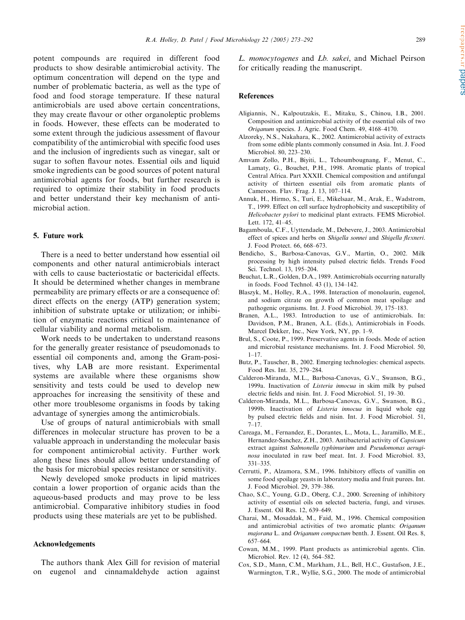<span id="page-16-0"></span>potent compounds are required in different food products to show desirable antimicrobial activity. The optimum concentration will depend on the type and number of problematic bacteria, as well as the type of food and food storage temperature. If these natural antimicrobials are used above certain concentrations, they may create flavour or other organoleptic problems in foods. However, these effects can be moderated to some extent through the judicious assessment of flavour compatibility of the antimicrobial with specific food uses and the inclusion of ingredients such as vinegar, salt or sugar to soften flavour notes. Essential oils and liquid smoke ingredients can be good sources of potent natural antimicrobial agents for foods, but further research is required to optimize their stability in food products and better understand their key mechanism of antimicrobial action.

### 5. Future work

There is a need to better understand how essential oil components and other natural antimicrobials interact with cells to cause bacteriostatic or bactericidal effects. It should be determined whether changes in membrane permeability are primary effects or are a consequence of: direct effects on the energy (ATP) generation system; inhibition of substrate uptake or utilization; or inhibition of enzymatic reactions critical to maintenance of cellular viability and normal metabolism.

Work needs to be undertaken to understand reasons for the generally greater resistance of pseudomonads to essential oil components and, among the Gram-positives, why LAB are more resistant. Experimental systems are available where these organisms show sensitivity and tests could be used to develop new approaches for increasing the sensitivity of these and other more troublesome organisms in foods by taking advantage of synergies among the antimicrobials.

Use of groups of natural antimicrobials with small differences in molecular structure has proven to be a valuable approach in understanding the molecular basis for component antimicrobial activity. Further work along these lines should allow better understanding of the basis for microbial species resistance or sensitivity.

Newly developed smoke products in lipid matrices contain a lower proportion of organic acids than the aqueous-based products and may prove to be less antimicrobial. Comparative inhibitory studies in food products using these materials are yet to be published.

# Acknowledgements

The authors thank Alex Gill for revision of material on eugenol and cinnamaldehyde action against L. monocytogenes and Lb. sakei, and Michael Peirson for critically reading the manuscript.

### References

- Aligiannis, N., Kalpoutzakis, E., Mitaku, S., Chinou, I.B., 2001. Composition and antimicrobial activity of the essential oils of two Origanum species. J. Agric. Food Chem. 49, 4168–4170.
- Alzoreky, N.S., Nakahara, K., 2002. Antimicrobial activity of extracts from some edible plants commonly consumed in Asia. Int. J. Food Microbiol. 80, 223–230.
- Amvam Zollo, P.H., Biyiti, L., Tchoumbougnang, F., Menut, C., Lamaty, G., Bouchet, P.H., 1998. Aromatic plants of tropical Central Africa. Part XXXII. Chemical composition and antifungal activity of thirteen essential oils from aromatic plants of Cameroon. Flav. Frag. J. 13, 107–114.
- Annuk, H., Hirmo, S., Turi, E., Mikelsaar, M., Arak, E., Wadstrom, T., 1999. Effect on cell surface hydrophobicity and susceptibility of Helicobacter pylori to medicinal plant extracts. FEMS Microbiol. Lett. 172, 41–45.
- Bagamboula, C.F., Uyttendaele, M., Debevere, J., 2003. Antimicrobial effect of spices and herbs on Shigella sonnei and Shigella flexneri. J. Food Protect. 66, 668–673.
- Bendicho, S., Barbosa-Canovas, G.V., Martin, O., 2002. Milk processing by high intensity pulsed electric fields. Trends Food Sci. Technol. 13, 195–204.
- Beuchat, L.R., Golden, D.A., 1989. Antimicrobials occurring naturally in foods. Food Technol. 43 (1), 134–142.
- Blaszyk, M., Holley, R.A., 1998. Interaction of monolaurin, eugenol, and sodium citrate on growth of common meat spoilage and pathogenic organisms. Int. J. Food Microbiol. 39, 175–183.
- Branen, A.L., 1983. Introduction to use of antimicrobials. In: Davidson, P.M., Branen, A.L. (Eds.), Antimicrobials in Foods. Marcel Dekker, Inc., New York, NY, pp. 1–9.
- Brul, S., Coote, P., 1999. Preservative agents in foods. Mode of action and microbial resistance mechanisms. Int. J. Food Microbiol. 50,  $1 - 17$
- Butz, P., Tauscher, B., 2002. Emerging technologies: chemical aspects. Food Res. Int. 35, 279–284.
- Calderon-Miranda, M.L., Barbosa-Canovas, G.V., Swanson, B.G., 1999a. Inactivation of Listeria innocua in skim milk by pulsed electric fields and nisin. Int. J. Food Microbiol. 51, 19–30.
- Calderon-Miranda, M.L., Barbosa-Canovas, G.V., Swanson, B.G., 1999b. Inactivation of Listeria innocua in liquid whole egg by pulsed electric fields and nisin. Int. J. Food Microbiol. 51,  $7 - 17$
- Careaga, M., Fernandez, E., Dorantes, L., Mota, L., Jaramillo, M.E., Hernandez-Sanchez, Z.H., 2003. Antibacterial activity of Capsicum extract against Salmonella typhimurium and Pseudomonas aeruginosa inoculated in raw beef meat. Int. J. Food Microbiol. 83, 331–335.
- Cerrutti, P., Alzamora, S.M., 1996. Inhibitory effects of vanillin on some food spoilage yeasts in laboratory media and fruit purees. Int. J. Food Microbiol. 29, 379–386.
- Chao, S.C., Young, G.D., Oberg, C.J., 2000. Screening of inhibitory activity of essential oils on selected bacteria, fungi, and viruses. J. Essent. Oil Res. 12, 639–649.
- Charai, M., Mosaddak, M., Faid, M., 1996. Chemical composition and antimicrobial activities of two aromatic plants: Origanum majorana L. and Origanum compactum benth. J. Essent. Oil Res. 8, 657–664.
- Cowan, M.M., 1999. Plant products as antimicrobial agents. Clin. Microbiol. Rev. 12 (4), 564–582.
- Cox, S.D., Mann, C.M., Markham, J.L., Bell, H.C., Gustafson, J.E., Warmington, T.R., Wyllie, S.G., 2000. The mode of antimicrobial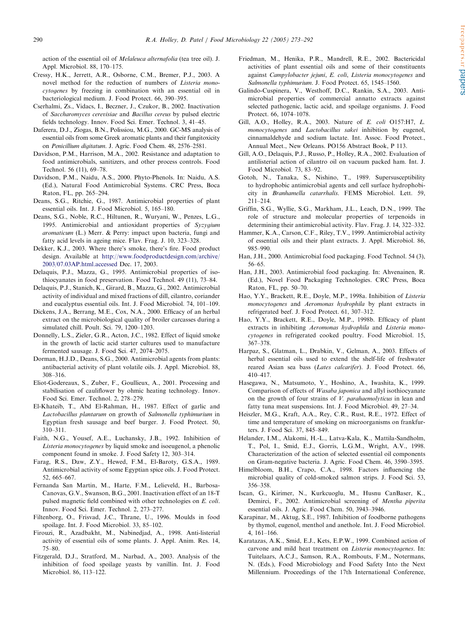<span id="page-17-0"></span>action of the essential oil of *Melaleuca alternafolia* (tea tree oil). J. Appl. Microbiol. 88, 170–175.

- Cressy, H.K., Jerrett, A.R., Osborne, C.M., Bremer, P.J., 2003. A novel method for the reduction of numbers of Listeria monocytogenes by freezing in combination with an essential oil in bacteriological medium. J. Food Protect. 66, 390–395.
- Cserhalmi, Zs., Vidacs, I., Beczner, J., Czukor, B., 2002. Inactivation of Saccharomyces cerevisiae and Bacillus cereus by pulsed electric fields technology. Innov. Food Sci. Emer. Technol. 3, 41–45.
- Daferera, D.J., Ziogas, B.N., Polissiou, M.G., 2000. GC-MS analysis of essential oils from some Greek aromatic plants and their fungitoxicity on Penicillium digitatum. J. Agric. Food Chem. 48, 2576–2581.
- Davidson, P.M., Harrison, M.A., 2002. Resistance and adaptation to food antimicrobials, sanitizers, and other process controls. Food Technol. 56 (11), 69–78.
- Davidson, P.M., Naidu, A.S., 2000. Phyto-Phenols. In: Naidu, A.S. (Ed.), Natural Food Antimicrobial Systems. CRC Press, Boca Raton, FL, pp. 265–294.
- Deans, S.G., Ritchie, G., 1987. Antimicrobial properties of plant essential oils. Int. J. Food Microbiol. 5, 165–180.
- Deans, S.G., Noble, R.C., Hiltunen, R., Wuryani, W., Penzes, L.G., 1995. Antimicrobial and antioxidant properties of Syzygium aromaticum (L.) Merr. & Perry: impact upon bacteria, fungi and fatty acid levels in ageing mice. Flav. Frag. J. 10, 323–328.
- Dekker, K.J., 2003. Where there's smoke, there's fire. Food product design. Available at [http://www.foodproductdesign.com/archive/](http://www.foodproductdesign.com/archive/2003/07.03AP.html.accessed) [2003/07.03AP.html.accessed](http://www.foodproductdesign.com/archive/2003/07.03AP.html.accessed) Dec. 17, 2003.
- Delaquis, P.J., Mazza, G., 1995. Antimicrobial properties of isothiocyanates in food preservation. Food Technol. 49 (11), 73–84.
- Delaquis, P.J., Stanich, K., Girard, B., Mazza, G., 2002. Antimicrobial activity of individual and mixed fractions of dill, cilantro, coriander and eucalyptus essential oils. Int. J. Food Microbiol. 74, 101–109.
- Dickens, J.A., Berrang, M.E., Cox, N.A., 2000. Efficacy of an herbal extract on the microbiological quality of broiler carcasses during a simulated chill. Poult. Sci. 79, 1200–1203.
- Donnelly, L.S., Zieler, G.R., Acton, J.C., 1982. Effect of liquid smoke in the growth of lactic acid starter cultures used to manufacture fermented sausage. J. Food Sci. 47, 2074–2075.
- Dorman, H.J.D., Deans, S.G., 2000. Antimicrobial agents from plants: antibacterial activity of plant volatile oils. J. Appl. Microbiol. 88, 308–316.
- Eliot-Godereaux, S., Zuber, F., Goullieux, A., 2001. Processing and stabilisation of cauliflower by ohmic heating technology. Innov. Food Sci. Emer. Technol. 2, 278–279.
- El-Khateib, T., Abd El-Rahman, H., 1987. Effect of garlic and Lactobacillus plantarum on growth of Salmonella typhimurium in Egyptian fresh sausage and beef burger. J. Food Protect. 50, 310–311.
- Faith, N.G., Yousef, A.E., Luchansky, J.B., 1992. Inhibition of Listeria monocytogenes by liquid smoke and isoeugenol, a phenolic component found in smoke. J. Food Safety 12, 303–314.
- Farag, R.S., Daw, Z.Y., Hewed, F.M., El-Baroty, G.S.A., 1989. Antimicrobial activity of some Egyptian spice oils. J. Food Protect. 52, 665–667.
- Fernanda San Martin, M., Harte, F.M., Lelieveld, H., Barbosa-Canovas, G.V., Swanson, B.G., 2001. Inactivation effect of an 18-T pulsed magnetic field combined with other technologies on E. coli. Innov. Food Sci. Emer. Technol. 2, 273–277.
- Filtenborg, O., Frisvad, J.C., Thrane, U., 1996. Moulds in food spoilage. Int. J. Food Microbiol. 33, 85–102.
- Firouzi, R., Azadbakht, M., Nabinedjad, A., 1998. Anti-listerial activity of essential oils of some plants. J. Appl. Anim. Res. 14, 75–80.
- Fitzgerald, D.J., Stratford, M., Narbad, A., 2003. Analysis of the inhibition of food spoilage yeasts by vanillin. Int. J. Food Microbiol. 86, 113–122.
- Friedman, M., Henika, P.R., Mandrell, R.E., 2002. Bactericidal activities of plant essential oils and some of their constituents against Campylobacter jejuni, E. coli, Listeria monocytogenes and Salmonella typhimurium. J. Food Protect. 65, 1545–1560.
- Galindo-Cuspinera, V., Westhoff, D.C., Rankin, S.A., 2003. Antimicrobial properties of commercial annatto extracts against selected pathogenic, lactic acid, and spoilage organisms. J. Food Protect. 66, 1074–1078.
- Gill, A.O., Holley, R.A., 2003. Nature of E. coli O157:H7, L. monocytogenes and *Lactobacillus sakei* inhibition by eugenol, cinnamaldehyde and sodium lactate. Int. Assoc. Food Protect., Annual Meet., New Orleans. PO156 Abstract Book, P 113.
- Gill, A.O., Delaquis, P.J., Russo, P., Holley, R.A., 2002. Evaluation of antilisterial action of cilantro oil on vacuum packed ham. Int. J. Food Microbiol. 73, 83–92.
- Gotoh, N., Tanaka, S., Nishino, T., 1989. Supersusceptibility to hydrophobic antimicrobial agents and cell surface hydrophobicity in Branhamella catarrhalis. FEMS Microbiol. Lett. 59, 211–214.
- Griffin, S.G., Wyllie, S.G., Markham, J.L., Leach, D.N., 1999. The role of structure and molecular properties of terpenoids in determining their antimicrobial activity. Flav. Frag. J. 14, 322–332.
- Hammer, K.A., Carson, C.F., Riley, T.V., 1999. Antimicrobial activity of essential oils and their plant extracts. J. Appl. Microbiol. 86, 985–990.
- Han, J.H., 2000. Antimicrobial food packaging. Food Technol. 54 (3), 56–65.
- Han, J.H., 2003. Antimicrobial food packaging. In: Ahvenainen, R. (Ed.), Novel Food Packaging Technologies. CRC Press, Boca Raton, FL, pp. 50–70.
- Hao, Y.Y., Brackett, R.E., Doyle, M.P., 1998a. Inhibition of Listeria monocytogenes and Aeromonas hydrophila by plant extracts in refrigerated beef. J. Food Protect. 61, 307–312.
- Hao, Y.Y., Brackett, R.E., Doyle, M.P., 1998b. Efficacy of plant extracts in inhibiting Aeromonas hydrophila and Listeria monocytogenes in refrigerated cooked poultry. Food Microbiol. 15, 367–378.
- Harpaz, S., Glatman, L., Drabkin, V., Gelman, A., 2003. Effects of herbal essential oils used to extend the shelf-life of freshwater reared Asian sea bass (Lates calcarifer). J. Food Protect. 66, 410–417.
- Hasegawa, N., Matsumoto, Y., Hoshino, A., Iwashita, K., 1999. Comparison of effects of Wasaba japonica and allyl isothiocyanate on the growth of four strains of  $V$ . parahaemolyticus in lean and fatty tuna meat suspensions. Int. J. Food Microbiol. 49, 27–34.
- Heiszler, M.G., Kraft, A.A., Rey, C.R., Rust, R.E., 1972. Effect of time and temperature of smoking on microorganisms on frankfurters. J. Food Sci. 37, 845–849.
- Helander, I.M., Alakomi, H.-L., Latva-Kala, K., Mattila-Sandholm, T., Pol, I., Smid, E.J., Gorris, L.G.M., Wright, A.V., 1998. Characterization of the action of selected essential oil components on Gram-negative bacteria. J. Agric. Food Chem. 46, 3590–3595.
- Himelbloom, B.H., Crapo, C.A., 1998. Factors influencing the microbial quality of cold-smoked salmon strips. J. Food Sci. 53, 356–358.
- Iscan, G., Kirimer, N., Kurkcuoglu, M., Husnu CanBaser, K., Demirci, F., 2002. Antimicrobial screening of Mentha piperita essential oils. J. Agric. Food Chem. 50, 3943–3946.
- Karapinar, M., Aktug, S.E., 1987. Inhibition of foodborne pathogens by thymol, eugenol, menthol and anethole. Int. J. Food Microbiol. 4, 161–166.
- Karatazas, A.K., Smid, E.J., Kets, E.P.W., 1999. Combined action of carvone and mild heat treatment on Listeria monocytogenes. In: Tuitelaars, A.C.J., Samson, R.A., Rombouts, F.M., Notermans, N. (Eds.), Food Microbiology and Food Safety Into the Next Millennium. Proceedings of the 17th International Conference,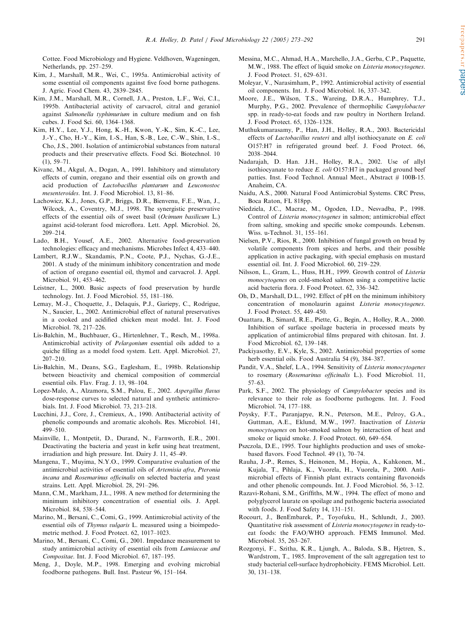<span id="page-18-0"></span>Cottee. Food Microbiology and Hygiene. Veldhoven, Wageningen, Netherlands, pp. 257–259.

- Kim, J., Marshall, M.R., Wei, C., 1995a. Antimicrobial activity of some essential oil components against five food borne pathogens. J. Agric. Food Chem. 43, 2839–2845.
- Kim, J.M., Marshall, M.R., Cornell, J.A., Preston, L.F., Wei, C.I., 1995b. Antibacterial activity of carvacrol, citral and geraniol against Salmonella typhimurium in culture medium and on fish cubes. J. Food Sci. 60, 1364–1368.
- Kim, H.Y., Lee, Y.J., Hong, K.-H., Kwon, Y.-K., Sim, K.-C., Lee, J.-Y., Cho, H.-Y., Kim, I.-S., Han, S.-B., Lee, C.-W., Shin, I.-S., Cho, J.S., 2001. Isolation of antimicrobial substances from natural products and their preservative effects. Food Sci. Biotechnol. 10 (1), 59–71.
- Kivanc, M., Akgul, A., Dogan, A., 1991. Inhibitory and stimulatory effects of cumin, oregano and their essential oils on growth and acid production of Lactobacillus plantarum and Leuconostoc mesenteroides. Int. J. Food Microbiol. 13, 81–86.
- Lachowicz, K.J., Jones, G.P., Briggs, D.R., Bienvenu, F.E., Wan, J., Wilcock, A., Coventry, M.J., 1998. The synergistic preservative effects of the essential oils of sweet basil (Ocimum basilicum L.) against acid-tolerant food microflora. Lett. Appl. Microbiol. 26, 209–214.
- Lado, B.H., Yousef, A.E., 2002. Alternative food-preservation technologies: efficacy and mechanisms. Microbes Infect 4, 433–440.
- Lambert, R.J.W., Skandamis, P.N., Coote, P.J., Nychas, G.-J.E., 2001. A study of the minimum inhibitory concentration and mode of action of oregano essential oil, thymol and carvacrol. J. Appl. Microbiol. 91, 453–462.
- Leistner, L., 2000. Basic aspects of food preservation by hurdle technology. Int. J. Food Microbiol. 55, 181–186.
- Lemay, M.-J., Choquette, J., Delaquis, P.J., Gariepy, C., Rodrigue, N., Saucier, L., 2002. Antimicrobial effect of natural preservatives in a cooked and acidified chicken meat model. Int. J. Food Microbiol. 78, 217–226.
- Lis-Balchin, M., Buchbauer, G., Hirtenlehner, T., Resch, M., 1998a. Antimicrobial activity of Pelargonium essential oils added to a quiche filling as a model food system. Lett. Appl. Microbiol. 27, 207–210.
- Lis-Balchin, M., Deans, S.G., Eaglesham, E., 1998b. Relationship between bioactivity and chemical composition of commercial essential oils. Flav. Frag. J. 13, 98–104.
- Lopez-Malo, A., Alzamora, S.M., Palou, E., 2002. Aspergillus flavus dose-response curves to selected natural and synthetic antimicrobials. Int. J. Food Microbiol. 73, 213–218.
- Lucchini, J.J., Core, J., Cremieux, A., 1990. Antibacterial activity of phenolic compounds and aromatic alcohols. Res. Microbiol. 141, 499–510.
- Mainville, I., Montpetit, D., Durand, N., Farnworth, E.R., 2001. Deactivating the bacteria and yeast in kefir using heat treatment, irradiation and high pressure. Int. Dairy J. 11, 45–49.
- Mangena, T., Muyima, N.Y.O., 1999. Comparative evaluation of the antimicrobial activities of essential oils of Artemisia afra, Pteronia incana and Rosemarinus officinalis on selected bacteria and yeast strains. Lett. Appl. Microbiol. 28, 291–296.
- Mann, C.M., Markham, J.L., 1998. A new method for determining the minimum inhibitory concentration of essential oils. J. Appl. Microbiol. 84, 538–544.
- Marino, M., Bersani, C., Comi, G., 1999. Antimicrobial activity of the essential oils of Thymus vulgaris L. measured using a bioimpedometric method. J. Food Protect. 62, 1017–1023.
- Marino, M., Bersani, C., Comi, G., 2001. Impedance measurement to study antimicrobial activity of essential oils from Lamiaceae and Compositae. Int. J. Food Microbiol. 67, 187–195.
- Meng, J., Doyle, M.P., 1998. Emerging and evolving microbial foodborne pathogens. Bull. Inst. Pasteur 96, 151–164.
- Messina, M.C., Ahmad, H.A., Marchello, J.A., Gerba, C.P., Paquette, M.W., 1988. The effect of liquid smoke on Listeria monocytogenes. J. Food Protect. 51, 629–631.
- Moleyar, V., Narasimham, P., 1992. Antimicrobial activity of essential oil components. Int. J. Food Microbiol. 16, 337–342.
- Moore, J.E., Wilson, T.S., Wareing, D.R.A., Humphrey, T.J., Murphy, P.G., 2002. Prevalence of thermophilic Campylobacter spp. in ready-to-eat foods and raw poultry in Northern Ireland. J. Food Protect. 65, 1326–1328.
- Muthukumarasamy, P., Han, J.H., Holley, R.A., 2003. Bactericidal effects of Lactobacillus reuteri and allyl isothiocyanate on E. coli O157:H7 in refrigerated ground beef. J. Food Protect. 66, 2038–2044.
- Nadarajah, D. Han. J.H., Holley, R.A., 2002. Use of allyl isothiocyanate to reduce  $E.$  coli O157:H7 in packaged ground beef patties. Inst. Food Technol. Annual Meet., Abstract # 100B-15. Anaheim, CA.
- Naidu, A.S., 2000. Natural Food Antimicrobial Systems. CRC Press, Boca Raton, FL 818pp.
- Niedziela, J.C., Macrae, M., Ogoden, I.D., Nesvadba, P., 1998. Control of Listeria monocytogenes in salmon; antimicrobial effect from salting, smoking and specific smoke compounds. Lebensm. Wiss. u-Technol. 31, 155–161.
- Nielsen, P.V., Rios, R., 2000. Inhibition of fungal growth on bread by volatile components from spices and herbs, and their possible application in active packaging, with special emphasis on mustard essential oil. Int. J. Food Microbiol. 60, 219–229.
- Nilsson, L., Gram, L., Huss, H.H., 1999. Growth control of Listeria monocytogenes on cold-smoked salmon using a competitive lactic acid bacteria flora. J. Food Protect. 62, 336–342.
- Oh, D., Marshall, D.L., 1992. Effect of pH on the minimum inhibitory concentration of monolaurin against Listeria monocytogenes. J. Food Protect. 55, 449–450.
- Ouattara, B., Simard, R.E., Piette, G., Begin, A., Holley, R.A., 2000. Inhibition of surface spoilage bacteria in processed meats by application of antimicrobial films prepared with chitosan. Int. J. Food Microbiol. 62, 139–148.
- Packiyasothy, E.V., Kyle, S., 2002. Antimicrobial properties of some herb essential oils. Food Australia 54 (9), 384–387.
- Pandit, V.A., Shelef, L.A., 1994. Sensitivity of Listeria monocytogenes to rosemary (Rosemarinus officinalis L.). Food Microbiol. 11, 57–63.
- Park, S.F., 2002. The physiology of *Campylobacter* species and its relevance to their role as foodborne pathogens. Int. J. Food Microbiol. 74, 177–188.
- Poysky, F.T., Paranjapye, R.N., Peterson, M.E., Pelroy, G.A., Guttman, A.E., Eklund, M.W., 1997. Inactivation of Listeria monocytogenes on hot-smoked salmon by interaction of heat and smoke or liquid smoke. J. Food Protect. 60, 649–654.
- Pszczola, D.E., 1995. Tour highlights production and uses of smokebased flavors. Food Technol. 49 (1), 70–74.
- Rauha, J.-P., Remes, S., Heinonen, M., Hopia, A., Kahkonen, M., Kujala, T., Pihlaja, K., Vuorela, H., Vuorela, P., 2000. Antimicrobial effects of Finnish plant extracts containing flavonoids and other phenolic compounds. Int. J. Food Microbiol. 56, 3–12.
- Razavi-Rohani, S.M., Griffiths, M.W., 1994. The effect of mono and polyglycerol laurate on spoilage and pathogenic bacteria associated with foods. J. Food Safety 14, 131–151.
- Rocourt, J., BenEmbarek, P., Toyofuku, H., Schlundt, J., 2003. Quantitative risk assessment of Listeria monocytogenes in ready-toeat foods: the FAO/WHO approach. FEMS Immunol. Med. Microbiol. 35, 263–267.
- Rozgonyi, F., Szitha, K.R., Ljungh, A., Baloda, S.B., Hjetren, S., Wardstrom, T., 1985. Improvement of the salt aggregation test to study bacterial cell-surface hydrophobicity. FEMS Microbiol. Lett. 30, 131–138.

rreepapers.ir

papers